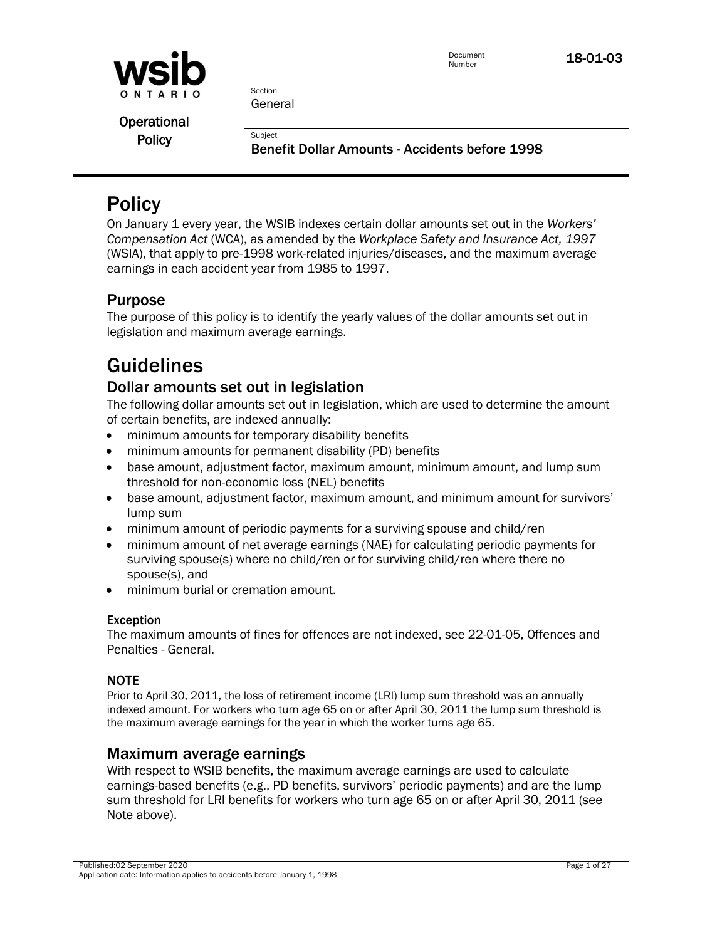

Section General

**Subject** 

Operational **Policy** 

Benefit Dollar Amounts - Accidents before 1998

# **Policy**

On January 1 every year, the WSIB indexes certain dollar amounts set out in the *Workers' Compensation Act* (WCA), as amended by the *Workplace Safety and Insurance Act, 1997* (WSIA), that apply to pre-1998 work-related injuries/diseases, and the maximum average earnings in each accident year from 1985 to 1997.

# Purpose

The purpose of this policy is to identify the yearly values of the dollar amounts set out in legislation and maximum average earnings.

# Guidelines

# Dollar amounts set out in legislation

The following dollar amounts set out in legislation, which are used to determine the amount of certain benefits, are indexed annually:

- minimum amounts for temporary disability benefits
- minimum amounts for permanent disability (PD) benefits
- base amount, adjustment factor, maximum amount, minimum amount, and lump sum threshold for non-economic loss (NEL) benefits
- base amount, adjustment factor, maximum amount, and minimum amount for survivors' lump sum
- minimum amount of periodic payments for a surviving spouse and child/ren
- minimum amount of net average earnings (NAE) for calculating periodic payments for surviving spouse(s) where no child/ren or for surviving child/ren where there no spouse(s), and
- minimum burial or cremation amount.

# Exception

The maximum amounts of fines for offences are not indexed, see 22-01-05, Offences and Penalties - General.

# **NOTE**

Prior to April 30, 2011, the loss of retirement income (LRI) lump sum threshold was an annually indexed amount. For workers who turn age 65 on or after April 30, 2011 the lump sum threshold is the maximum average earnings for the year in which the worker turns age 65.

# Maximum average earnings

With respect to WSIB benefits, the maximum average earnings are used to calculate earnings-based benefits (e.g., PD benefits, survivors' periodic payments) and are the lump sum threshold for LRI benefits for workers who turn age 65 on or after April 30, 2011 (see Note above).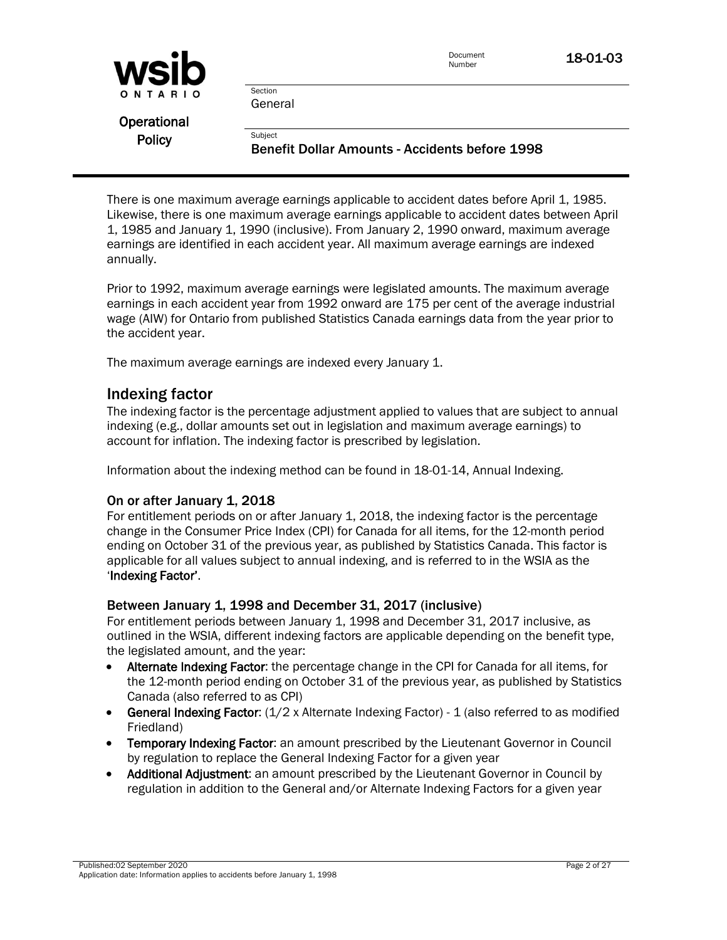| WSID          |                                                                  | Document<br>18-01-03<br>Number |  |
|---------------|------------------------------------------------------------------|--------------------------------|--|
| ONTARIO       | Section<br>General                                               |                                |  |
| Operational   |                                                                  |                                |  |
| <b>Policy</b> | Subiect<br><b>Benefit Dollar Amounts - Accidents before 1998</b> |                                |  |

There is one maximum average earnings applicable to accident dates before April 1, 1985. Likewise, there is one maximum average earnings applicable to accident dates between April 1, 1985 and January 1, 1990 (inclusive). From January 2, 1990 onward, maximum average earnings are identified in each accident year. All maximum average earnings are indexed annually.

Prior to 1992, maximum average earnings were legislated amounts. The maximum average earnings in each accident year from 1992 onward are 175 per cent of the average industrial wage (AIW) for Ontario from published Statistics Canada earnings data from the year prior to the accident year.

The maximum average earnings are indexed every January 1.

# Indexing factor

The indexing factor is the percentage adjustment applied to values that are subject to annual indexing (e.g., dollar amounts set out in legislation and maximum average earnings) to account for inflation. The indexing factor is prescribed by legislation.

Information about the indexing method can be found in 18-01-14, Annual Indexing.

# On or after January 1, 2018

For entitlement periods on or after January 1, 2018, the indexing factor is the percentage change in the Consumer Price Index (CPI) for Canada for all items, for the 12-month period ending on October 31 of the previous year, as published by Statistics Canada. This factor is applicable for all values subject to annual indexing, and is referred to in the WSIA as the 'Indexing Factor'.

# Between January 1, 1998 and December 31, 2017 (inclusive)

For entitlement periods between January 1, 1998 and December 31, 2017 inclusive, as outlined in the WSIA, different indexing factors are applicable depending on the benefit type, the legislated amount, and the year:

- Alternate Indexing Factor: the percentage change in the CPI for Canada for all items, for the 12-month period ending on October 31 of the previous year, as published by Statistics Canada (also referred to as CPI)
- **General Indexing Factor:**  $(1/2 \times$  Alternate Indexing Factor) 1 (also referred to as modified Friedland)
- Temporary Indexing Factor: an amount prescribed by the Lieutenant Governor in Council by regulation to replace the General Indexing Factor for a given year
- Additional Adjustment: an amount prescribed by the Lieutenant Governor in Council by regulation in addition to the General and/or Alternate Indexing Factors for a given year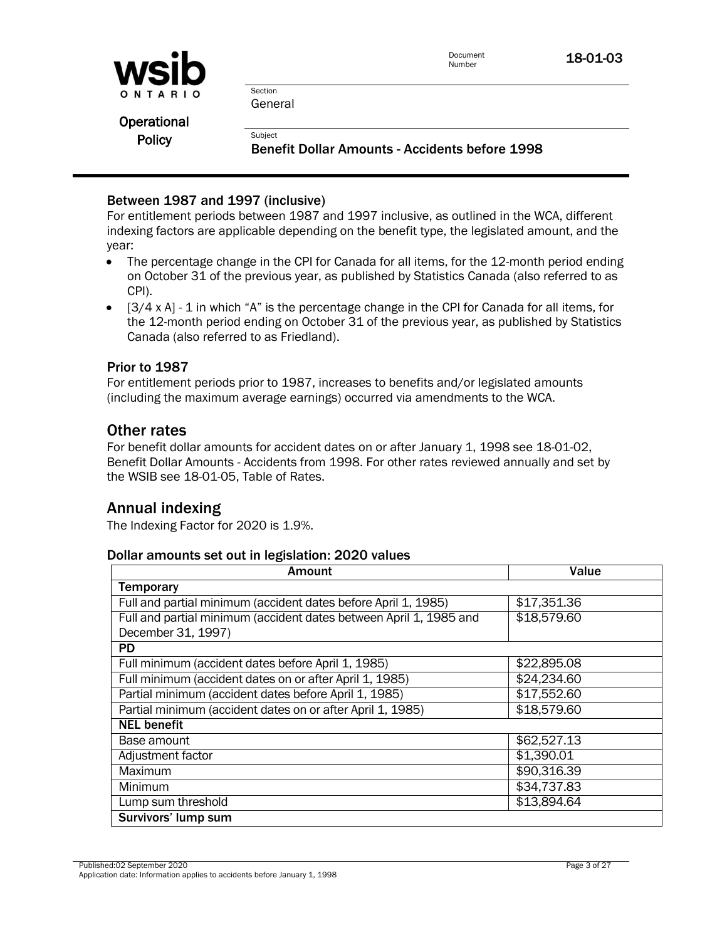

Section General

**Subject** 

**Operational Policy** 

Benefit Dollar Amounts - Accidents before 1998

# Between 1987 and 1997 (inclusive)

For entitlement periods between 1987 and 1997 inclusive, as outlined in the WCA, different indexing factors are applicable depending on the benefit type, the legislated amount, and the year:

- The percentage change in the CPI for Canada for all items, for the 12-month period ending on October 31 of the previous year, as published by Statistics Canada (also referred to as CPI).
- [3/4 x A] 1 in which "A" is the percentage change in the CPI for Canada for all items, for the 12-month period ending on October 31 of the previous year, as published by Statistics Canada (also referred to as Friedland).

# Prior to 1987

For entitlement periods prior to 1987, increases to benefits and/or legislated amounts (including the maximum average earnings) occurred via amendments to the WCA.

# Other rates

For benefit dollar amounts for accident dates on or after January 1, 1998 see [18-01-02,](policy:18-01-03)  [Benefit Dollar Amounts -](policy:18-01-03) Accidents from 1998. For other rates reviewed annually and set by the WSIB see [18-01-05, Table of Rates.](policy:18-01-05)

# Annual indexing

The Indexing Factor for 2020 is 1.9%.

# Dollar amounts set out in legislation: 2020 values

| <b>Amount</b>                                                      | Value               |
|--------------------------------------------------------------------|---------------------|
| <b>Temporary</b>                                                   |                     |
| Full and partial minimum (accident dates before April 1, 1985)     | \$17,351.36         |
| Full and partial minimum (accident dates between April 1, 1985 and | \$18,579.60         |
| December 31, 1997)                                                 |                     |
| <b>PD</b>                                                          |                     |
| Full minimum (accident dates before April 1, 1985)                 | \$22,895.08         |
| Full minimum (accident dates on or after April 1, 1985)            | \$24,234.60         |
| Partial minimum (accident dates before April 1, 1985)              | \$17,552.60         |
| Partial minimum (accident dates on or after April 1, 1985)         | \$18,579.60         |
| <b>NEL benefit</b>                                                 |                     |
| Base amount                                                        | \$62,527.13         |
| Adjustment factor                                                  | \$1,390.01          |
| Maximum                                                            | \$90,316.39         |
| Minimum                                                            | $\sqrt{$34,737.83}$ |
| Lump sum threshold                                                 | \$13,894.64         |
| Survivors' lump sum                                                |                     |

Published:02 September 2020 Page 3 of 27 Application date: Information applies to accidents before January 1, 1998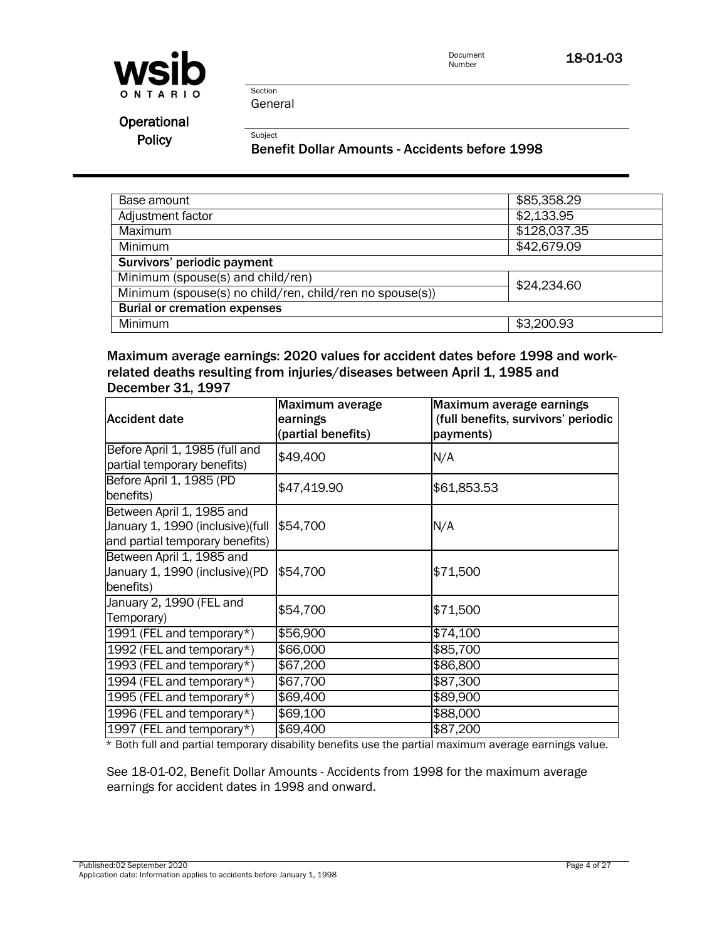

Document<br>Number 18-01-03

Section General

Subject

Operational Policy

Benefit Dollar Amounts - Accidents before 1998

| Base amount                                              | \$85,358.29  |
|----------------------------------------------------------|--------------|
| Adjustment factor                                        | \$2,133.95   |
| <b>Maximum</b>                                           | \$128,037.35 |
| Minimum                                                  | \$42,679.09  |
| Survivors' periodic payment                              |              |
| Minimum (spouse(s) and child/ren)                        | \$24,234.60  |
| Minimum (spouse(s) no child/ren, child/ren no spouse(s)) |              |
| <b>Burial or cremation expenses</b>                      |              |
| Minimum                                                  | \$3,200.93   |

Maximum average earnings: 2020 values for accident dates before 1998 and workrelated deaths resulting from injuries/diseases between April 1, 1985 and December 31, 1997

| <b>Accident date</b>                                                                              | Maximum average<br>earnings<br>(partial benefits) | Maximum average earnings<br>(full benefits, survivors' periodic<br>payments) |
|---------------------------------------------------------------------------------------------------|---------------------------------------------------|------------------------------------------------------------------------------|
| Before April 1, 1985 (full and<br>partial temporary benefits)                                     | \$49,400                                          | N/A                                                                          |
| Before April 1, 1985 (PD<br>benefits)                                                             | \$47,419.90                                       | \$61,853.53                                                                  |
| Between April 1, 1985 and<br>January 1, 1990 (inclusive) (full<br>and partial temporary benefits) | \$54,700                                          | N/A                                                                          |
| Between April 1, 1985 and<br>January 1, 1990 (inclusive)(PD<br>benefits)                          | \$54,700                                          | \$71,500                                                                     |
| January 2, 1990 (FEL and<br>Temporary)                                                            | \$54,700                                          | \$71,500                                                                     |
| 1991 (FEL and temporary*)                                                                         | \$56,900                                          | \$74,100                                                                     |
| 1992 (FEL and temporary*)                                                                         | \$66,000                                          | \$85,700                                                                     |
| 1993 (FEL and temporary*)                                                                         | \$67,200                                          | \$86,800                                                                     |
| 1994 (FEL and temporary*)                                                                         | \$67,700                                          | \$87,300                                                                     |
| 1995 (FEL and temporary*)                                                                         | \$69,400                                          | $\sqrt{$89,900}$                                                             |
| 1996 (FEL and temporary*)                                                                         | \$69,100                                          | \$88,000                                                                     |
| 1997 (FEL and temporary*)                                                                         | \$69,400                                          | \$87,200                                                                     |

\* Both full and partial temporary disability benefits use the partial maximum average earnings value.

See 18-01-02, Benefit Dollar Amounts - Accidents from 1998 for the maximum average earnings for accident dates in 1998 and onward.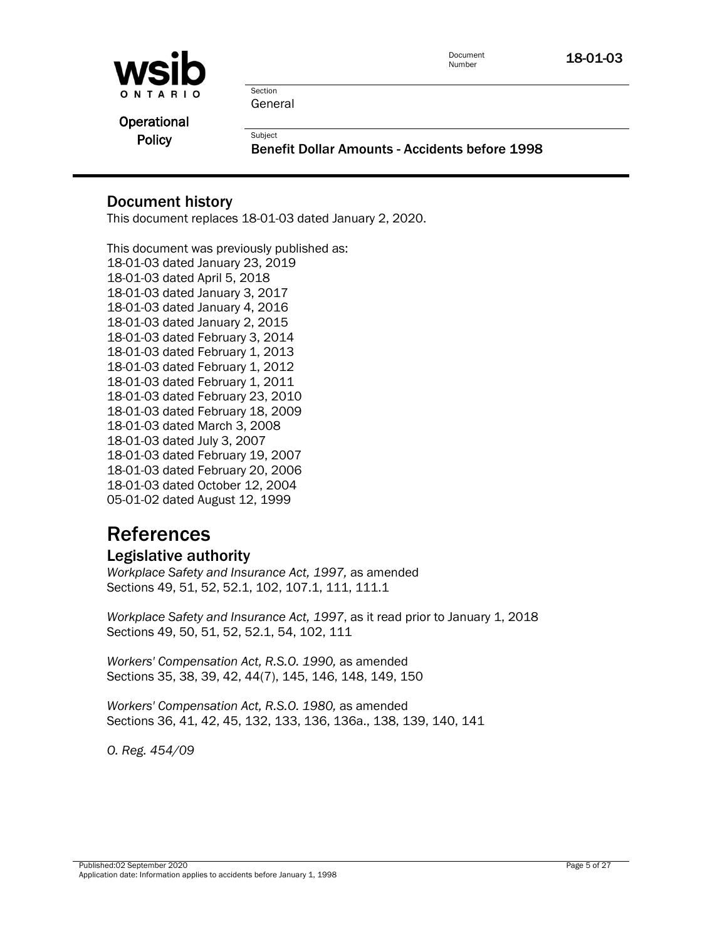

Document **18-01-03**<br>Number

Section General

**Subject** 

**Operational Policy** 

Benefit Dollar Amounts - Accidents before 1998

# Document history

This document replaces 18-01-03 dated January 2, 2020.

This document was previously published as: 18-01-03 dated January 23, 2019 18-01-03 dated April 5, 2018 18-01-03 dated January 3, 2017 18-01-03 dated January 4, 2016 18-01-03 dated January 2, 2015 18-01-03 dated February 3, 2014 18-01-03 dated February 1, 2013 18-01-03 dated February 1, 2012 18-01-03 dated February 1, 2011 18-01-03 dated February 23, 2010 18-01-03 dated February 18, 2009 18-01-03 dated March 3, 2008 18-01-03 dated July 3, 2007 18-01-03 dated February 19, 2007 18-01-03 dated February 20, 2006 18-01-03 dated October 12, 2004 05-01-02 dated August 12, 1999

# References

# Legislative authority

*Workplace Safety and Insurance Act, 1997,* as amended Sections 49, 51, 52, 52.1, 102, 107.1, 111, 111.1

*Workplace Safety and Insurance Act, 1997*, as it read prior to January 1, 2018 Sections 49, 50, 51, 52, 52.1, 54, 102, 111

*Workers' Compensation Act, R.S.O. 1990,* as amended Sections 35, 38, 39, 42, 44(7), 145, 146, 148, 149, 150

*Workers' Compensation Act, R.S.O. 1980,* as amended Sections 36, 41, 42, 45, 132, 133, 136, 136a., 138, 139, 140, 141

*O. Reg. 454/09*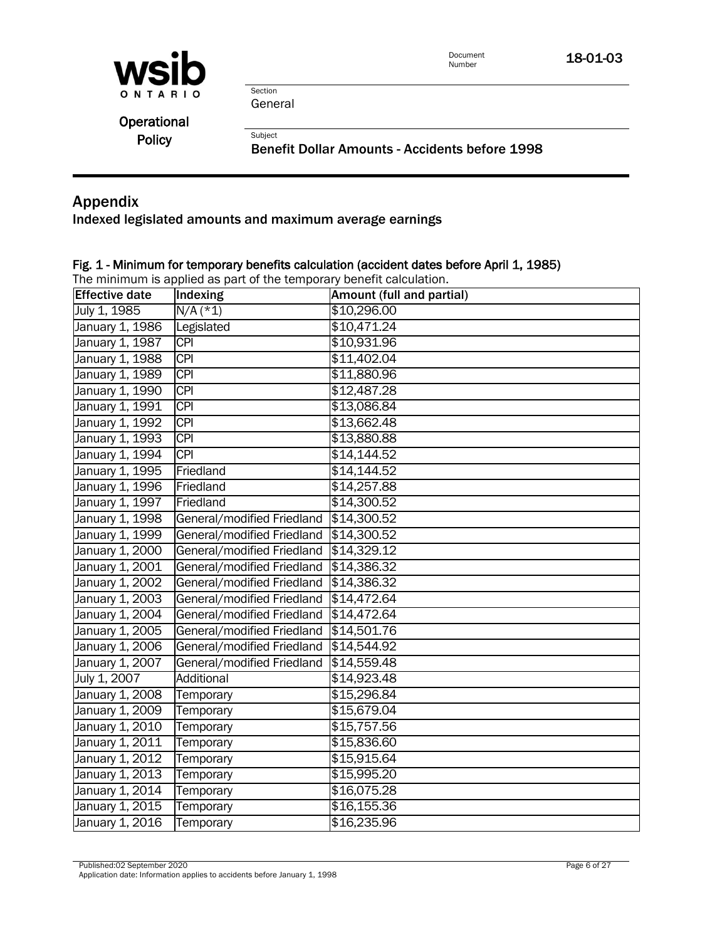

Document<br>Number 18-01-03

Section General

Subject

| Operational   |  |
|---------------|--|
| <b>Policy</b> |  |

Benefit Dollar Amounts - Accidents before 1998

# Appendix

Indexed legislated amounts and maximum average earnings

## Fig. 1 - Minimum for temporary benefits calculation (accident dates before April 1, 1985)

The minimum is applied as part of the temporary benefit calculation.

| <b>Effective date</b> | Indexing                   | Amount (full and partial) |
|-----------------------|----------------------------|---------------------------|
| July 1, 1985          | $N/A$ (*1)                 | \$10,296.00               |
| January 1, 1986       | Legislated                 | \$10,471.24               |
| January 1, 1987       | $\overline{CPI}$           | \$10,931.96               |
| January 1, 1988       | <b>CPI</b>                 | \$11,402.04               |
| January 1, 1989       | <b>CPI</b>                 | \$11,880.96               |
| January 1, 1990       | CPI                        | \$12,487.28               |
| January 1, 1991       | <b>CPI</b>                 | \$13,086.84               |
| January 1, 1992       | <b>CPI</b>                 | \$13,662.48               |
| January 1, 1993       | $\overline{CPI}$           | \$13,880.88               |
| January 1, 1994       | CPI                        | \$14,144.52               |
| January 1, 1995       | Friedland                  | \$14,144.52               |
| January 1, 1996       | Friedland                  | \$14,257.88               |
| January 1, 1997       | Friedland                  | \$14,300.52               |
| January 1, 1998       | General/modified Friedland | \$14,300.52               |
| January 1, 1999       | General/modified Friedland | \$14,300.52               |
| January 1, 2000       | General/modified Friedland | \$14,329.12               |
| January 1, 2001       | General/modified Friedland | \$14,386.32               |
| January 1, 2002       | General/modified Friedland | \$14,386.32               |
| January 1, 2003       | General/modified Friedland | \$14,472.64               |
| January 1, 2004       | General/modified Friedland | \$14,472.64               |
| January 1, 2005       | General/modified Friedland | \$14,501.76               |
| January 1, 2006       | General/modified Friedland | \$14,544.92               |
| January 1, 2007       | General/modified Friedland | \$14,559.48               |
| July 1, 2007          | Additional                 | \$14,923.48               |
| January 1, 2008       | Temporary                  | \$15,296.84               |
| January 1, 2009       | Temporary                  | \$15,679.04               |
| January 1, 2010       | Temporary                  | \$15,757.56               |
| January 1, 2011       | Temporary                  | \$15,836.60               |
| January 1, 2012       | Temporary                  | \$15,915.64               |
| January 1, 2013       | Temporary                  | \$15,995.20               |
| January 1, 2014       | Temporary                  | \$16,075.28               |
| January 1, 2015       | Temporary                  | \$16,155.36               |
| January 1, 2016       | Temporary                  | \$16,235.96               |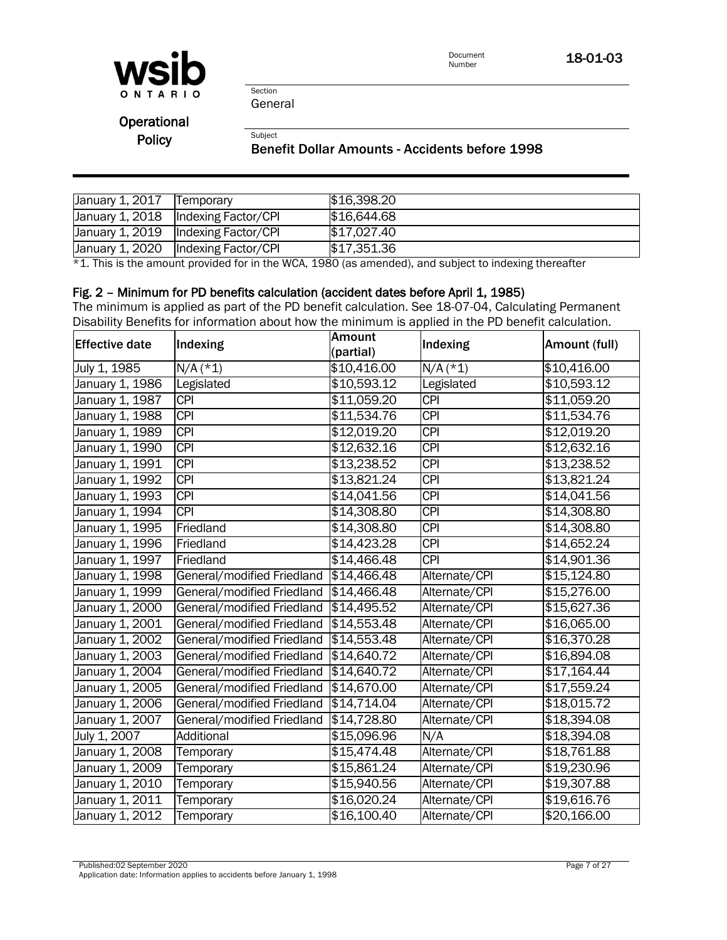

Document<br>Number 18-01-03

Section General

Subject

**Operational Policy** 

#### Benefit Dollar Amounts - Accidents before 1998

| January 1, 2017 | Temporary                             | \$16,398.20 |
|-----------------|---------------------------------------|-------------|
|                 |                                       |             |
|                 | January 1, 2018   Indexing Factor/CPI | \$16,644.68 |
|                 | January 1, 2019   Indexing Factor/CPI | \$17,027.40 |
|                 |                                       |             |
|                 | January 1, 2020  Indexing Factor/CPI  | \$17,351.36 |

\*1. This is the amount provided for in the WCA, 1980 (as amended), and subject to indexing thereafter

#### Fig. 2 – Minimum for PD benefits calculation (accident dates before April 1, 1985)

The minimum is applied as part of the PD benefit calculation. See 18-07-04, Calculating Permanent Disability Benefits for information about how the minimum is applied in the PD benefit calculation.

| <b>Effective date</b> | Indexing                   | <b>Amount</b><br>(partial) | Indexing         | Amount (full) |
|-----------------------|----------------------------|----------------------------|------------------|---------------|
| July 1, 1985          | $N/A$ (*1)                 | \$10,416.00                | $N/A$ (*1)       | \$10,416.00   |
| January 1, 1986       | Legislated                 | \$10,593.12                | Legislated       | \$10,593.12   |
| January 1, 1987       | <b>CPI</b>                 | \$11,059.20                | CPI              | \$11,059.20   |
| January 1, 1988       | <b>CPI</b>                 | \$11,534.76                | <b>CPI</b>       | \$11,534.76   |
| January 1, 1989       | <b>CPI</b>                 | \$12,019.20                | CPI              | \$12,019.20   |
| January 1, 1990       | <b>CPI</b>                 | \$12,632.16                | <b>CPI</b>       | \$12,632.16   |
| January 1, 1991       | <b>CPI</b>                 | \$13,238.52                | <b>CPI</b>       | \$13,238.52   |
| January 1, 1992       | <b>CPI</b>                 | \$13,821.24                | <b>CPI</b>       | \$13,821.24   |
| January 1, 1993       | <b>CPI</b>                 | \$14,041.56                | <b>CPI</b>       | \$14,041.56   |
| January 1, 1994       | <b>CPI</b>                 | \$14,308.80                | CPI              | \$14,308.80   |
| January 1, 1995       | Friedland                  | \$14,308.80                | <b>CPI</b>       | \$14,308.80   |
| January 1, 1996       | Friedland                  | \$14,423.28                | $\overline{CPI}$ | \$14,652.24   |
| January 1, 1997       | Friedland                  | \$14,466.48                | <b>CPI</b>       | \$14,901.36   |
| January 1, 1998       | General/modified Friedland | \$14,466.48                | Alternate/CPI    | \$15,124.80   |
| January 1, 1999       | General/modified Friedland | \$14,466.48                | Alternate/CPI    | \$15,276.00   |
| January 1, 2000       | General/modified Friedland | \$14,495.52                | Alternate/CPI    | \$15,627.36   |
| January 1, 2001       | General/modified Friedland | \$14,553.48                | Alternate/CPI    | \$16,065.00   |
| January 1, 2002       | General/modified Friedland | \$14,553.48                | Alternate/CPI    | \$16,370.28   |
| January 1, 2003       | General/modified Friedland | \$14,640.72                | Alternate/CPI    | \$16,894.08   |
| January 1, 2004       | General/modified Friedland | \$14,640.72                | Alternate/CPI    | \$17,164.44   |
| January 1, 2005       | General/modified Friedland | \$14,670.00                | Alternate/CPI    | \$17,559.24   |
| January 1, 2006       | General/modified Friedland | \$14,714.04                | Alternate/CPI    | \$18,015.72   |
| January 1, 2007       | General/modified Friedland | \$14,728.80                | Alternate/CPI    | \$18,394.08   |
| July 1, 2007          | Additional                 | \$15,096.96                | N/A              | \$18,394.08   |
| January 1, 2008       | Temporary                  | \$15,474.48                | Alternate/CPI    | \$18,761.88   |
| January 1, 2009       | Temporary                  | \$15,861.24                | Alternate/CPI    | \$19,230.96   |
| January 1, 2010       | Temporary                  | \$15,940.56                | Alternate/CPI    | \$19,307.88   |
| January 1, 2011       | Temporary                  | \$16,020.24                | Alternate/CPI    | \$19,616.76   |
| January 1, 2012       | Temporary                  | \$16,100.40                | Alternate/CPI    | \$20,166.00   |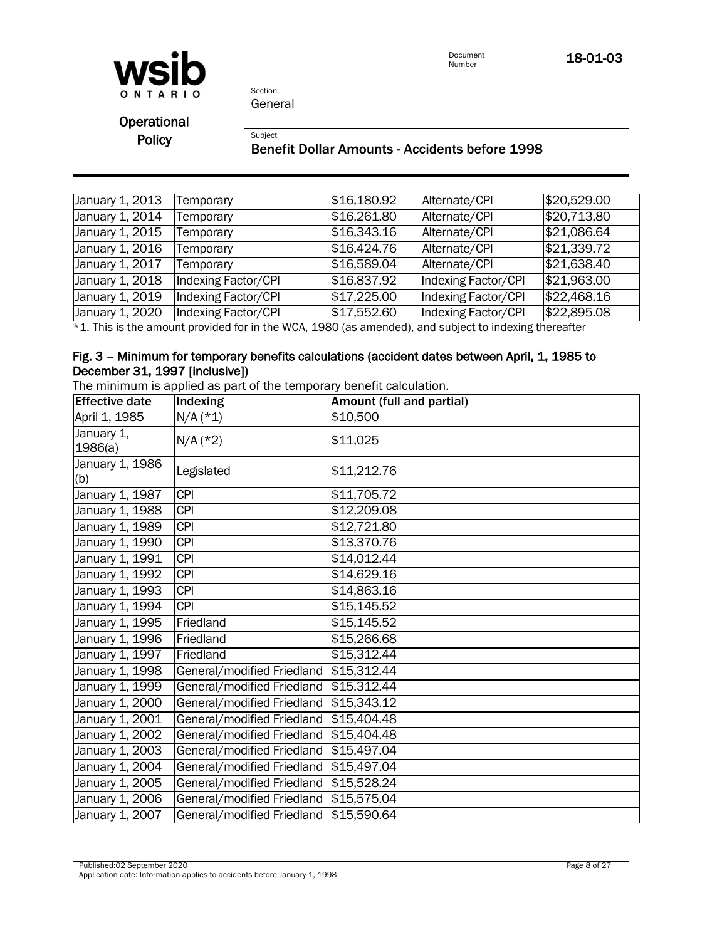

Document<br>Number 18-01-03

Section General

Subject

Operational **Policy** 

## Benefit Dollar Amounts - Accidents before 1998

| January 1, 2013 | Temporary           | \$16,180.92 | Alternate/CPI       | \$20,529.00 |
|-----------------|---------------------|-------------|---------------------|-------------|
| January 1, 2014 | Temporary           | \$16,261.80 | Alternate/CPI       | \$20,713.80 |
| January 1, 2015 | Temporary           | \$16,343.16 | Alternate/CPI       | \$21,086.64 |
| January 1, 2016 | Temporary           | \$16,424.76 | Alternate/CPI       | \$21,339.72 |
| January 1, 2017 | Temporary           | \$16,589.04 | Alternate/CPI       | \$21,638.40 |
| January 1, 2018 | Indexing Factor/CPI | \$16,837.92 | Indexing Factor/CPI | \$21,963.00 |
| January 1, 2019 | Indexing Factor/CPI | \$17,225.00 | Indexing Factor/CPI | \$22,468.16 |
| January 1, 2020 | Indexing Factor/CPI | \$17,552.60 | Indexing Factor/CPI | \$22,895.08 |

\*1. This is the amount provided for in the WCA, 1980 (as amended), and subject to indexing thereafter

## Fig. 3 – Minimum for temporary benefits calculations (accident dates between April, 1, 1985 to December 31, 1997 [inclusive])

The minimum is applied as part of the temporary benefit calculation.

| <b>Effective date</b>  | Indexing                               | Amount (full and partial) |
|------------------------|----------------------------------------|---------------------------|
| April 1, 1985          | $N/A$ (*1)                             | \$10,500                  |
| January 1,<br>1986(a)  | $N/A$ (*2)                             | \$11,025                  |
| January 1, 1986<br>(b) | Legislated                             | \$11,212.76               |
| January 1, 1987        | <b>CPI</b>                             | \$11,705.72               |
| January 1, 1988        | <b>CPI</b>                             | $\sqrt{412,209.08}$       |
| January 1, 1989        | <b>CPI</b>                             | \$12,721.80               |
| January 1, 1990        | <b>CPI</b>                             | \$13,370.76               |
| January 1, 1991        | $\overline{CPI}$                       | \$14,012.44               |
| January 1, 1992        | <b>CPI</b>                             | \$14,629.16               |
| January 1, 1993        | <b>CPI</b>                             | \$14,863.16               |
| January 1, 1994        | <b>CPI</b>                             | \$15,145.52               |
| January 1, 1995        | Friedland                              | \$15,145.52               |
| January 1, 1996        | Friedland                              | \$15,266.68               |
| January 1, 1997        | Friedland                              | \$15,312.44               |
| January 1, 1998        | General/modified Friedland \$15,312.44 |                           |
| January 1, 1999        | General/modified Friedland \$15,312.44 |                           |
| January 1, 2000        | General/modified Friedland \$15,343.12 |                           |
| January 1, 2001        | General/modified Friedland \$15,404.48 |                           |
| January 1, 2002        | General/modified Friedland \$15,404.48 |                           |
| January 1, 2003        | General/modified Friedland             | \$15,497.04               |
| January 1, 2004        | General/modified Friedland \$15,497.04 |                           |
| January 1, 2005        | General/modified Friedland             | \$15,528.24               |
| January 1, 2006        | General/modified Friedland             | \$15,575.04               |
| January 1, 2007        | General/modified Friedland \$15,590.64 |                           |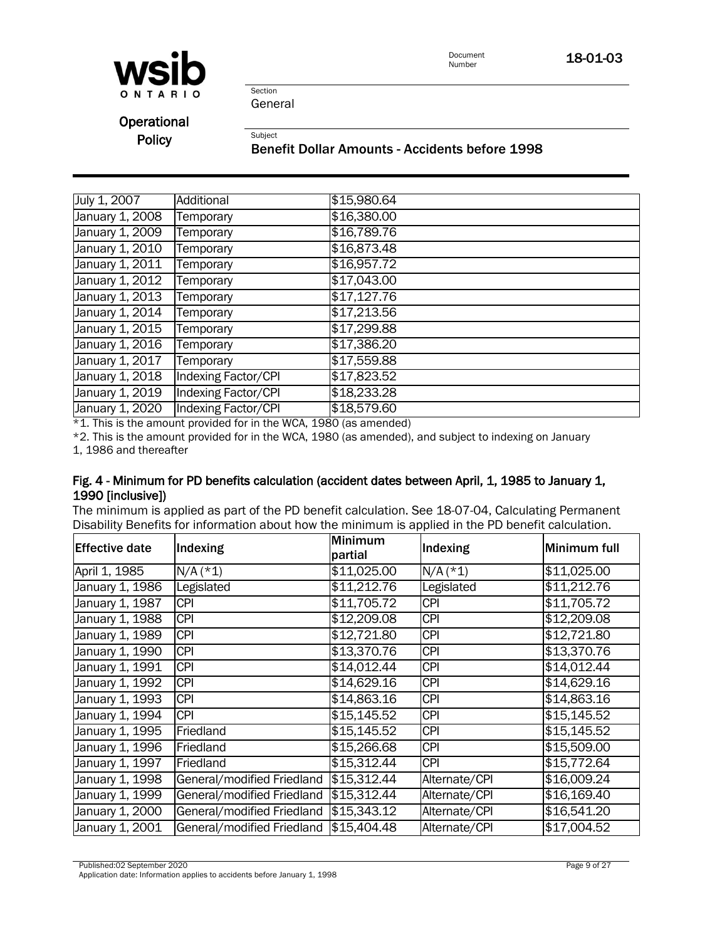

Document<br>Number 18-01-03

Section General

Subject

**Operational Policy** 

Benefit Dollar Amounts - Accidents before 1998

| July 1, 2007    | Additional          | \$15,980.64 |
|-----------------|---------------------|-------------|
| January 1, 2008 | Temporary           | \$16,380.00 |
| January 1, 2009 | Temporary           | \$16,789.76 |
| January 1, 2010 | Temporary           | \$16,873.48 |
| January 1, 2011 | Temporary           | \$16,957.72 |
| January 1, 2012 | Temporary           | \$17,043.00 |
| January 1, 2013 | Temporary           | \$17,127.76 |
| January 1, 2014 | Temporary           | \$17,213.56 |
| January 1, 2015 | Temporary           | \$17,299.88 |
| January 1, 2016 | Temporary           | \$17,386.20 |
| January 1, 2017 | Temporary           | \$17,559.88 |
| January 1, 2018 | Indexing Factor/CPI | \$17,823.52 |
| January 1, 2019 | Indexing Factor/CPI | \$18,233.28 |
| January 1, 2020 | Indexing Factor/CPI | \$18,579.60 |

 $*1$ . This is the amount provided for in the WCA, 1980 (as amended)

\*2. This is the amount provided for in the WCA, 1980 (as amended), and subject to indexing on January

1, 1986 and thereafter

#### Fig. 4 - Minimum for PD benefits calculation (accident dates between April, 1, 1985 to January 1, 1990 [inclusive])

The minimum is applied as part of the PD benefit calculation. See 18-07-04, Calculating Permanent Disability Benefits for information about how the minimum is applied in the PD benefit calculation.

| <b>IEffective date</b> | Indexing                   | <b>Minimum</b><br>partial | Indexing      | Minimum full |
|------------------------|----------------------------|---------------------------|---------------|--------------|
| April 1, 1985          | $N/A$ (*1)                 | \$11,025.00               | $N/A$ (*1)    | \$11,025.00  |
| January 1, 1986        | Legislated                 | \$11,212.76               | Legislated    | \$11,212.76  |
| January 1, 1987        | <b>CPI</b>                 | \$11,705.72               | <b>CPI</b>    | \$11,705.72  |
| January 1, 1988        | <b>CPI</b>                 | \$12,209.08               | <b>CPI</b>    | \$12,209.08  |
| January 1, 1989        | <b>CPI</b>                 | \$12,721.80               | <b>CPI</b>    | \$12,721.80  |
| January 1, 1990        | <b>CPI</b>                 | \$13,370.76               | <b>CPI</b>    | \$13,370.76  |
| January 1, 1991        | <b>CPI</b>                 | \$14,012.44               | <b>CPI</b>    | \$14,012.44  |
| January 1, 1992        | <b>CPI</b>                 | \$14,629.16               | <b>CPI</b>    | \$14,629.16  |
| January 1, 1993        | <b>CPI</b>                 | \$14,863.16               | <b>CPI</b>    | \$14,863.16  |
| January 1, 1994        | <b>CPI</b>                 | \$15,145.52               | <b>CPI</b>    | \$15,145.52  |
| January 1, 1995        | Friedland                  | \$15,145.52               | <b>CPI</b>    | \$15,145.52  |
| January 1, 1996        | Friedland                  | \$15,266.68               | <b>CPI</b>    | \$15,509.00  |
| January 1, 1997        | Friedland                  | \$15,312.44               | <b>CPI</b>    | \$15,772.64  |
| January 1, 1998        | General/modified Friedland | \$15,312.44               | Alternate/CPI | \$16,009.24  |
| January 1, 1999        | General/modified Friedland | \$15,312.44               | Alternate/CPI | \$16,169.40  |
| January 1, 2000        | General/modified Friedland | \$15,343.12               | Alternate/CPI | \$16,541.20  |
| January 1, 2001        | General/modified Friedland | \$15,404.48               | Alternate/CPI | \$17,004.52  |

Published:02 September 2020 Page 9 of 27

Application date: Information applies to accidents before January 1, 1998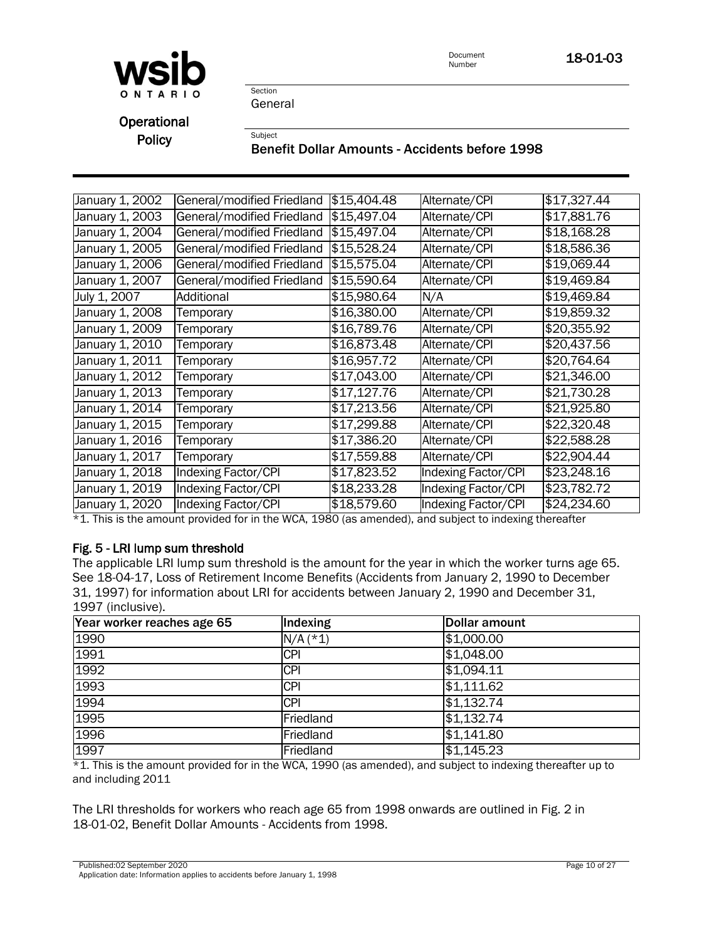

Document **18-01-03**<br>Number

Section General

Subject

**Operational Policy** 

## Benefit Dollar Amounts - Accidents before 1998

| January 1, 2002 | General/modified Friedland | \$15,404.48 | Alternate/CPI              | \$17,327.44 |
|-----------------|----------------------------|-------------|----------------------------|-------------|
| January 1, 2003 | General/modified Friedland | \$15,497.04 | Alternate/CPI              | \$17,881.76 |
| January 1, 2004 | General/modified Friedland | \$15,497.04 | Alternate/CPI              | \$18,168.28 |
| January 1, 2005 | General/modified Friedland | \$15,528.24 | Alternate/CPI              | \$18,586.36 |
| January 1, 2006 | General/modified Friedland | \$15,575.04 | Alternate/CPI              | \$19,069.44 |
| January 1, 2007 | General/modified Friedland | \$15,590.64 | Alternate/CPI              | \$19,469.84 |
| July 1, 2007    | Additional                 | \$15,980.64 | N/A                        | \$19,469.84 |
| January 1, 2008 | Temporary                  | \$16,380.00 | Alternate/CPI              | \$19,859.32 |
| January 1, 2009 | Temporary                  | \$16,789.76 | Alternate/CPI              | \$20,355.92 |
| January 1, 2010 | Temporary                  | \$16,873.48 | Alternate/CPI              | \$20,437.56 |
| January 1, 2011 | Temporary                  | \$16,957.72 | Alternate/CPI              | \$20,764.64 |
| January 1, 2012 | Temporary                  | \$17,043.00 | Alternate/CPI              | \$21,346.00 |
| January 1, 2013 | Temporary                  | \$17,127.76 | Alternate/CPI              | \$21,730.28 |
| January 1, 2014 | Temporary                  | \$17,213.56 | Alternate/CPI              | \$21,925.80 |
| January 1, 2015 | Temporary                  | \$17,299.88 | Alternate/CPI              | \$22,320.48 |
| January 1, 2016 | Temporary                  | \$17,386.20 | Alternate/CPI              | \$22,588.28 |
| January 1, 2017 | Temporary                  | \$17,559.88 | Alternate/CPI              | \$22,904.44 |
| January 1, 2018 | Indexing Factor/CPI        | \$17,823.52 | Indexing Factor/CPI        | \$23,248.16 |
| January 1, 2019 | Indexing Factor/CPI        | \$18,233.28 | Indexing Factor/CPI        | \$23,782.72 |
| January 1, 2020 | Indexing Factor/CPI        | \$18,579.60 | <b>Indexing Factor/CPI</b> | \$24,234.60 |
|                 |                            |             |                            |             |

\*1. This is the amount provided for in the WCA, 1980 (as amended), and subject to indexing thereafter

# Fig. 5 - LRI lump sum threshold

The applicable LRI lump sum threshold is the amount for the year in which the worker turns age 65. See 18-04-17, Loss of Retirement Income Benefits (Accidents from January 2, 1990 to December 31, 1997) for information about LRI for accidents between January 2, 1990 and December 31, 1997 (inclusive).

| Year worker reaches age 65 | Indexing   | Dollar amount      |
|----------------------------|------------|--------------------|
| 1990                       | $N/A$ (*1) | \$1,000.00         |
| 1991                       | <b>CPI</b> | \$1,048.00         |
| 1992                       | <b>CPI</b> | \$1,094.11         |
| 1993                       | <b>CPI</b> | \$1,111.62         |
| 1994                       | <b>CPI</b> | \$1,132.74         |
| 1995                       | Friedland  | \$1,132.74         |
| 1996                       | Friedland  | $\sqrt{$1,141.80}$ |
| 1997                       | Friedland  | \$1,145.23         |

\*1. This is the amount provided for in the WCA, 1990 (as amended), and subject to indexing thereafter up to and including 2011

The LRI thresholds for workers who reach age 65 from 1998 onwards are outlined in Fig. 2 in 18-01-02, Benefit Dollar Amounts - Accidents from 1998.

Published:02 September 2020 Page 10 of 27

Application date: Information applies to accidents before January 1, 1998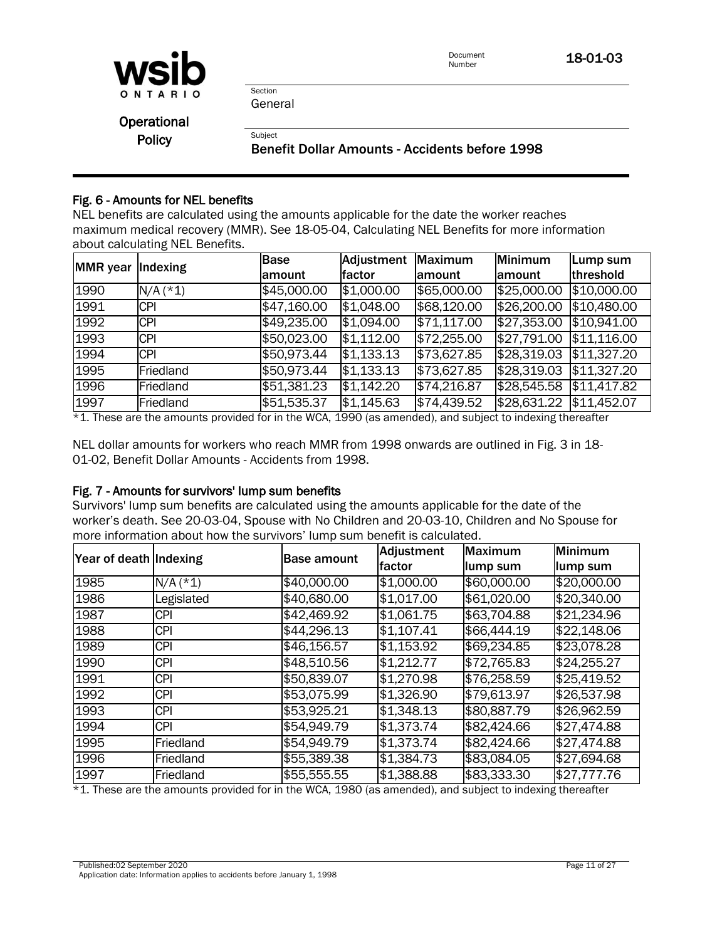

Document **18-01-03**<br>Number

Section General

Subject

**Operational Policy** 

Benefit Dollar Amounts - Accidents before 1998

# Fig. 6 - Amounts for NEL benefits

NEL benefits are calculated using the amounts applicable for the date the worker reaches maximum medical recovery (MMR). See [18-05-04, Calculating NEL Benefits](policy:18-05-04) for more information about calculating NEL Benefits.

| <b>MMR</b> year <i>dexing</i> |            | <b>Base</b> | Adjustment | Maximum     | <b>Minimum</b> | Lump sum    |
|-------------------------------|------------|-------------|------------|-------------|----------------|-------------|
|                               |            | amount      | factor     | lamount     | lamount        | threshold   |
| 1990                          | $N/A$ (*1) | \$45,000.00 | \$1,000.00 | \$65,000.00 | \$25,000.00    | \$10,000.00 |
| 1991                          | <b>CPI</b> | \$47,160.00 | \$1,048.00 | \$68,120.00 | \$26,200.00    | \$10,480.00 |
| 1992                          | <b>CPI</b> | \$49,235.00 | \$1,094.00 | \$71,117.00 | \$27,353.00    | \$10,941.00 |
| 1993                          | <b>CPI</b> | \$50,023.00 | \$1,112.00 | \$72,255.00 | \$27,791.00    | \$11,116.00 |
| 1994                          | <b>CPI</b> | \$50,973.44 | \$1,133.13 | \$73,627.85 | \$28,319.03    | \$11,327.20 |
| 1995                          | Friedland  | \$50,973.44 | \$1,133.13 | \$73,627.85 | \$28,319.03    | \$11,327.20 |
| 1996                          | Friedland  | \$51,381.23 | \$1,142.20 | \$74,216.87 | \$28,545.58    | \$11,417.82 |
| 1997                          | Friedland  | \$51,535.37 | \$1,145.63 | \$74,439.52 | \$28,631.22    | \$11,452.07 |

\*1. These are the amounts provided for in the WCA, 1990 (as amended), and subject to indexing thereafter

NEL dollar amounts for workers who reach MMR from 1998 onwards are outlined in Fig. 3 in 18- 01-02, Benefit Dollar Amounts - Accidents from 1998.

#### Fig. 7 - Amounts for survivors' lump sum benefits

Survivors' lump sum benefits are calculated using the amounts applicable for the date of the worker's death. See 20-03-04, Spouse with No Children and 20-03-10, Children and No Spouse for more information about how the survivors' lump sum benefit is calculated.

| Year of death Indexing |            | <b>Base amount</b> | Adjustment | Maximum     | <b>Minimum</b> |
|------------------------|------------|--------------------|------------|-------------|----------------|
|                        |            |                    | lfactor    | lump sum    | lump sum       |
| 1985                   | $N/A$ (*1) | \$40,000.00        | \$1,000.00 | \$60,000.00 | \$20,000.00    |
| 1986                   | Legislated | \$40,680.00        | \$1,017.00 | \$61,020.00 | \$20,340.00    |
| 1987                   | <b>CPI</b> | \$42,469.92        | \$1,061.75 | \$63,704.88 | \$21,234.96    |
| 1988                   | <b>CPI</b> | \$44,296.13        | \$1,107.41 | \$66,444.19 | \$22,148.06    |
| 1989                   | <b>CPI</b> | \$46,156.57        | \$1,153.92 | \$69,234.85 | \$23,078.28    |
| 1990                   | <b>CPI</b> | \$48,510.56        | \$1,212.77 | \$72,765.83 | \$24,255.27    |
| 1991                   | <b>CPI</b> | \$50,839.07        | \$1,270.98 | \$76,258.59 | \$25,419.52    |
| 1992                   | <b>CPI</b> | \$53,075.99        | \$1,326.90 | \$79,613.97 | \$26,537.98    |
| 1993                   | <b>CPI</b> | \$53,925.21        | \$1,348.13 | \$80,887.79 | \$26,962.59    |
| 1994                   | <b>CPI</b> | \$54,949.79        | \$1,373.74 | \$82,424.66 | \$27,474.88    |
| 1995                   | Friedland  | \$54,949.79        | \$1,373.74 | \$82,424.66 | \$27,474.88    |
| 1996                   | Friedland  | \$55,389.38        | \$1,384.73 | \$83,084.05 | \$27,694.68    |
| 1997                   | Friedland  | \$55,555.55        | \$1,388.88 | \$83,333.30 | \$27,777.76    |

\*1. These are the amounts provided for in the WCA, 1980 (as amended), and subject to indexing thereafter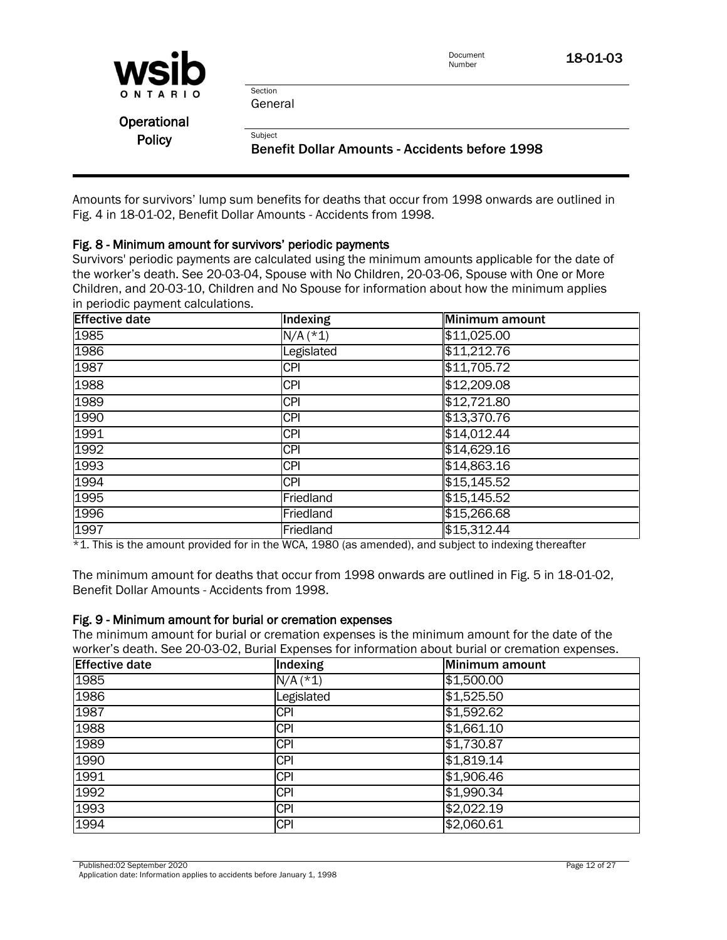|               |                                                       | Document<br>Number | 18-01-03 |
|---------------|-------------------------------------------------------|--------------------|----------|
| <b>WSID</b>   |                                                       |                    |          |
| ONTARIO       | Section                                               |                    |          |
|               | General                                               |                    |          |
| Operational   |                                                       |                    |          |
| <b>Policy</b> | Subject                                               |                    |          |
|               | <b>Benefit Dollar Amounts - Accidents before 1998</b> |                    |          |

Amounts for survivors' lump sum benefits for deaths that occur from 1998 onwards are outlined in Fig. 4 in 18-01-02, Benefit Dollar Amounts - Accidents from 1998.

#### Fig. 8 - Minimum amount for survivors' periodic payments

Survivors' periodic payments are calculated using the minimum amounts applicable for the date of the worker's death. See 20-03-04, Spouse with No Children, 20-03-06, Spouse with One or More Children, and 20-03-10, Children and No Spouse for information about how the minimum applies in periodic payment calculations.

| <b>Effective date</b> | Indexing   | Minimum amount |
|-----------------------|------------|----------------|
| 1985                  | $N/A$ (*1) | \$11,025.00    |
| 1986                  | Legislated | \$11,212.76    |
| 1987                  | <b>CPI</b> | \$11,705.72    |
| 1988                  | <b>CPI</b> | \$12,209.08    |
| 1989                  | <b>CPI</b> | \$12,721.80    |
| 1990                  | <b>CPI</b> | \$13,370.76    |
| 1991                  | <b>CPI</b> | \$14,012.44    |
| 1992                  | <b>CPI</b> | \$14,629.16    |
| 1993                  | <b>CPI</b> | \$14,863.16    |
| 1994                  | <b>CPI</b> | \$15,145.52    |
| 1995                  | Friedland  | \$15,145.52    |
| 1996                  | Friedland  | \$15,266.68    |
| 1997                  | Friedland  | \$15,312.44    |

\*1. This is the amount provided for in the WCA, 1980 (as amended), and subject to indexing thereafter

The minimum amount for deaths that occur from 1998 onwards are outlined in Fig. 5 in 18-01-02, Benefit Dollar Amounts - Accidents from 1998.

#### Fig. 9 - Minimum amount for burial or cremation expenses

The minimum amount for burial or cremation expenses is the minimum amount for the date of the worker's death. See [20-03-02, Burial Expenses](policy:20-03-02) for information about burial or cremation expenses.

| <b>Effective date</b> | Indexing   | Minimum amount |
|-----------------------|------------|----------------|
| 1985                  | $N/A$ (*1) | \$1,500.00     |
| 1986                  | Legislated | \$1,525.50     |
| 1987                  | <b>CPI</b> | \$1,592.62     |
| 1988                  | <b>CPI</b> | \$1,661.10     |
| 1989                  | <b>CPI</b> | \$1,730.87     |
| 1990                  | <b>CPI</b> | \$1,819.14     |
| 1991                  | <b>CPI</b> | \$1,906.46     |
| 1992                  | <b>CPI</b> | \$1,990.34     |
| 1993                  | <b>CPI</b> | \$2,022.19     |
| 1994                  | <b>CPI</b> | \$2,060.61     |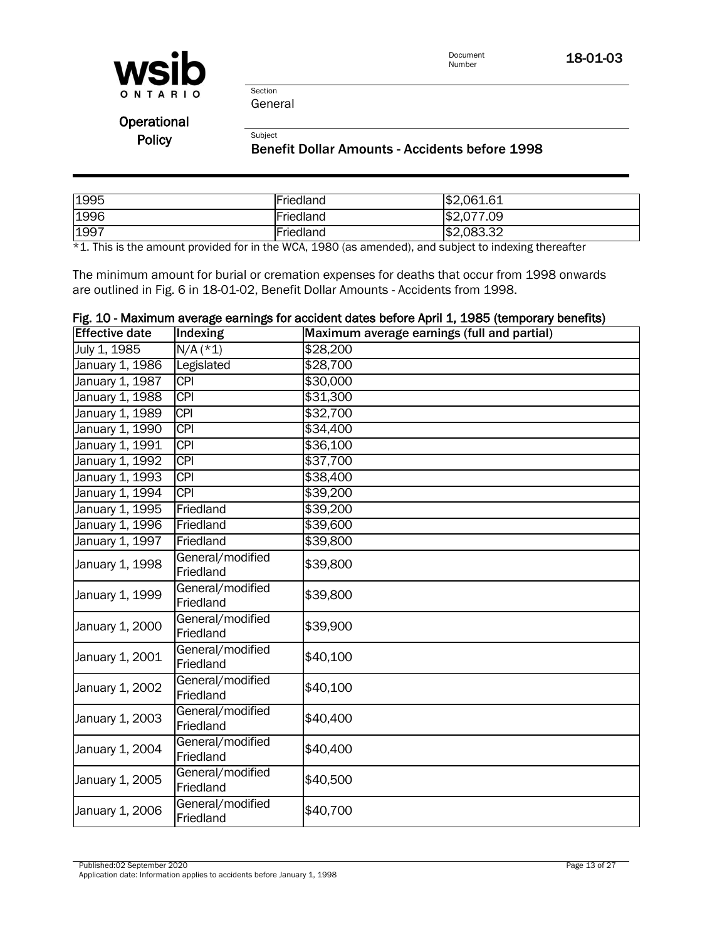

Document<br>Number 18-01-03

General

Section

Subject

**Operational Policy** 

#### Benefit Dollar Amounts - Accidents before 1998

| 1995 | Friedland | \$2,061.61     |
|------|-----------|----------------|
| 1996 | Friedland | .09<br>\$2,077 |
| 1997 | Friedland | \$2,083.32     |

\*1. This is the amount provided for in the WCA, 1980 (as amended), and subject to indexing thereafter

The minimum amount for burial or cremation expenses for deaths that occur from 1998 onwards are outlined in Fig. 6 in 18-01-02, Benefit Dollar Amounts - Accidents from 1998.

| <b>Effective date</b> |                               | Fig. 10 - Maximum average earnings for accident dates before April 1, 1985 (temporary benefits)<br>Maximum average earnings (full and partial) |
|-----------------------|-------------------------------|------------------------------------------------------------------------------------------------------------------------------------------------|
|                       | Indexing                      |                                                                                                                                                |
| July 1, 1985          | $N/A$ (*1)                    | \$28,200                                                                                                                                       |
| January 1, 1986       | Legislated                    | \$28,700                                                                                                                                       |
| January 1, 1987       | <b>CPI</b>                    | \$30,000                                                                                                                                       |
| January 1, 1988       | <b>CPI</b>                    | \$31,300                                                                                                                                       |
| January 1, 1989       | <b>CPI</b>                    | \$32,700                                                                                                                                       |
| January 1, 1990       | <b>CPI</b>                    | \$34,400                                                                                                                                       |
| January 1, 1991       | <b>CPI</b>                    | \$36,100                                                                                                                                       |
| January 1, 1992       | <b>CPI</b>                    | \$37,700                                                                                                                                       |
| January 1, 1993       | <b>CPI</b>                    | \$38,400                                                                                                                                       |
| January 1, 1994       | <b>CPI</b>                    | \$39,200                                                                                                                                       |
| January 1, 1995       | Friedland                     | \$39,200                                                                                                                                       |
| January 1, 1996       | Friedland                     | \$39,600                                                                                                                                       |
| January 1, 1997       | Friedland                     | \$39,800                                                                                                                                       |
| January 1, 1998       | General/modified<br>Friedland | \$39,800                                                                                                                                       |
| January 1, 1999       | General/modified<br>Friedland | \$39,800                                                                                                                                       |
| January 1, 2000       | General/modified<br>Friedland | \$39,900                                                                                                                                       |
| January 1, 2001       | General/modified<br>Friedland | \$40,100                                                                                                                                       |
| January 1, 2002       | General/modified<br>Friedland | \$40,100                                                                                                                                       |
| January 1, 2003       | General/modified<br>Friedland | \$40,400                                                                                                                                       |
| January 1, 2004       | General/modified<br>Friedland | \$40,400                                                                                                                                       |
| January 1, 2005       | General/modified<br>Friedland | \$40,500                                                                                                                                       |
| January 1, 2006       | General/modified<br>Friedland | \$40,700                                                                                                                                       |

Published:02 September 2020 Page 13 of 27 Application date: Information applies to accidents before January 1, 1998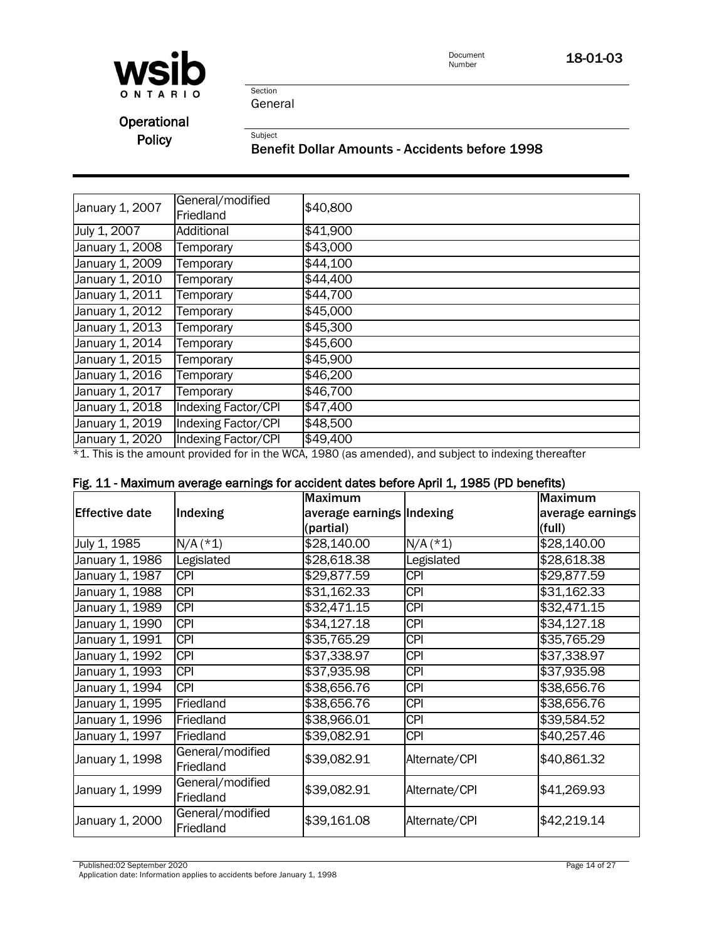

18-01-03

Section General

Subject

**Operational** Policy

Benefit Dollar Amounts - Accidents before 1998

| January 1, 2007 | General/modified<br>Friedland | \$40,800 |
|-----------------|-------------------------------|----------|
| July 1, 2007    | Additional                    | \$41,900 |
| January 1, 2008 | Temporary                     | \$43,000 |
| January 1, 2009 | Temporary                     | \$44,100 |
| January 1, 2010 | Temporary                     | \$44,400 |
| January 1, 2011 | Temporary                     | \$44,700 |
| January 1, 2012 | Temporary                     | \$45,000 |
| January 1, 2013 | Temporary                     | \$45,300 |
| January 1, 2014 | Temporary                     | \$45,600 |
| January 1, 2015 | Temporary                     | \$45,900 |
| January 1, 2016 | Temporary                     | \$46,200 |
| January 1, 2017 | Temporary                     | \$46,700 |
| January 1, 2018 | Indexing Factor/CPI           | \$47,400 |
| January 1, 2019 | Indexing Factor/CPI           | \$48,500 |
| January 1, 2020 | Indexing Factor/CPI           | \$49,400 |

\*1. This is the amount provided for in the WCA, 1980 (as amended), and subject to indexing thereafter

|  | Fig. 11 - Maximum average earnings for accident dates before April 1, 1985 (PD benefits) |  |  |  |  |  |
|--|------------------------------------------------------------------------------------------|--|--|--|--|--|
|  |                                                                                          |  |  |  |  |  |

|                       |                               | <b>Maximum</b>            |               | <b>Maximum</b>   |
|-----------------------|-------------------------------|---------------------------|---------------|------------------|
| <b>Effective date</b> | Indexing                      | average earnings Indexing |               | average earnings |
|                       |                               | (partial)                 |               | (full)           |
| July 1, 1985          | $N/A$ (*1)                    | \$28,140.00               | $N/A$ (*1)    | \$28,140.00      |
| January 1, 1986       | Legislated                    | \$28,618.38               | Legislated    | \$28,618.38      |
| January 1, 1987       | <b>CPI</b>                    | \$29,877.59               | <b>CPI</b>    | \$29,877.59      |
| January 1, 1988       | <b>CPI</b>                    | \$31,162.33               | <b>CPI</b>    | \$31,162.33      |
| January 1, 1989       | <b>CPI</b>                    | \$32,471.15               | <b>CPI</b>    | \$32,471.15      |
| January 1, 1990       | <b>CPI</b>                    | \$34,127.18               | <b>CPI</b>    | \$34,127.18      |
| January 1, 1991       | <b>CPI</b>                    | \$35,765.29               | <b>CPI</b>    | \$35,765.29      |
| January 1, 1992       | <b>CPI</b>                    | \$37,338.97               | <b>CPI</b>    | \$37,338.97      |
| January 1, 1993       | <b>CPI</b>                    | \$37,935.98               | <b>CPI</b>    | \$37,935.98      |
| January 1, 1994       | <b>CPI</b>                    | \$38,656.76               | <b>CPI</b>    | \$38,656.76      |
| January 1, 1995       | Friedland                     | \$38,656.76               | <b>CPI</b>    | \$38,656.76      |
| January 1, 1996       | Friedland                     | \$38,966.01               | <b>CPI</b>    | \$39,584.52      |
| January 1, 1997       | Friedland                     | \$39,082.91               | <b>CPI</b>    | \$40,257.46      |
| January 1, 1998       | General/modified<br>Friedland | \$39,082.91               | Alternate/CPI | \$40,861.32      |
| January 1, 1999       | General/modified<br>Friedland | \$39,082.91               | Alternate/CPI | \$41,269.93      |
| January 1, 2000       | General/modified<br>Friedland | \$39,161.08               | Alternate/CPI | \$42,219.14      |

Published:02 September 2020 Page 14 of 27

Application date: Information applies to accidents before January 1, 1998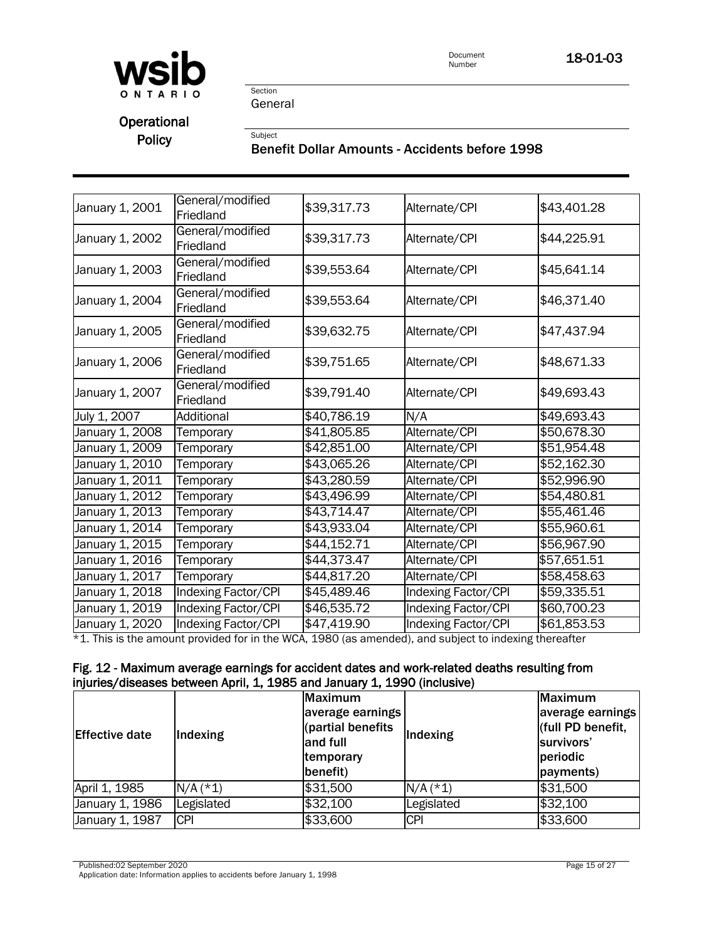

Document<br>Number 18-01-03

Section General

Subject

**Operational** Policy

## Benefit Dollar Amounts - Accidents before 1998

| January 1, 2001 | General/modified<br>Friedland | \$39,317.73 | Alternate/CPI       | \$43,401.28 |
|-----------------|-------------------------------|-------------|---------------------|-------------|
| January 1, 2002 | General/modified<br>Friedland | \$39,317.73 | Alternate/CPI       | \$44,225.91 |
| January 1, 2003 | General/modified<br>Friedland | \$39,553.64 | Alternate/CPI       | \$45,641.14 |
| January 1, 2004 | General/modified<br>Friedland | \$39,553.64 | Alternate/CPI       | \$46,371.40 |
| January 1, 2005 | General/modified<br>Friedland | \$39,632.75 | Alternate/CPI       | \$47,437.94 |
| January 1, 2006 | General/modified<br>Friedland | \$39,751.65 | Alternate/CPI       | \$48,671.33 |
| January 1, 2007 | General/modified<br>Friedland | \$39,791.40 | Alternate/CPI       | \$49,693.43 |
| July 1, 2007    | Additional                    | \$40,786.19 | N/A                 | \$49,693.43 |
| January 1, 2008 | Temporary                     | \$41,805.85 | Alternate/CPI       | \$50,678.30 |
| January 1, 2009 | Temporary                     | \$42,851.00 | Alternate/CPI       | \$51,954.48 |
| January 1, 2010 | Temporary                     | \$43,065.26 | Alternate/CPI       | \$52,162.30 |
| January 1, 2011 | Temporary                     | \$43,280.59 | Alternate/CPI       | \$52,996.90 |
| January 1, 2012 | Temporary                     | \$43,496.99 | Alternate/CPI       | \$54,480.81 |
| January 1, 2013 | Temporary                     | \$43,714.47 | Alternate/CPI       | \$55,461.46 |
| January 1, 2014 | Temporary                     | \$43,933.04 | Alternate/CPI       | \$55,960.61 |
| January 1, 2015 | Temporary                     | \$44,152.71 | Alternate/CPI       | \$56,967.90 |
| January 1, 2016 | Temporary                     | \$44,373.47 | Alternate/CPI       | \$57,651.51 |
| January 1, 2017 | Temporary                     | \$44,817.20 | Alternate/CPI       | \$58,458.63 |
| January 1, 2018 | Indexing Factor/CPI           | \$45,489.46 | Indexing Factor/CPI | \$59,335.51 |
| January 1, 2019 | Indexing Factor/CPI           | \$46,535.72 | Indexing Factor/CPI | \$60,700.23 |
| January 1, 2020 | Indexing Factor/CPI           | \$47,419.90 | Indexing Factor/CPI | \$61,853.53 |

\*1. This is the amount provided for in the WCA, 1980 (as amended), and subject to indexing thereafter

#### Fig. 12 - Maximum average earnings for accident dates and work-related deaths resulting from injuries/diseases between April, 1, 1985 and January 1, 1990 (inclusive)

| <b>Effective date</b> | Indexing   | Maximum<br>average earnings<br>(partial benefits<br>and full<br>temporary<br>benefit) | Indexing   | Maximum<br>average earnings<br>(full PD benefit,<br>survivors'<br>periodic<br>payments) |
|-----------------------|------------|---------------------------------------------------------------------------------------|------------|-----------------------------------------------------------------------------------------|
| April 1, 1985         | $N/A$ (*1) | \$31,500                                                                              | $N/A$ (*1) | \$31,500                                                                                |
| January 1, 1986       | Legislated | \$32,100                                                                              | Legislated | \$32,100                                                                                |
| January 1, 1987       | <b>CPI</b> | \$33,600                                                                              | <b>CPI</b> | \$33,600                                                                                |

Published:02 September 2020 Page 15 of 27

Application date: Information applies to accidents before January 1, 1998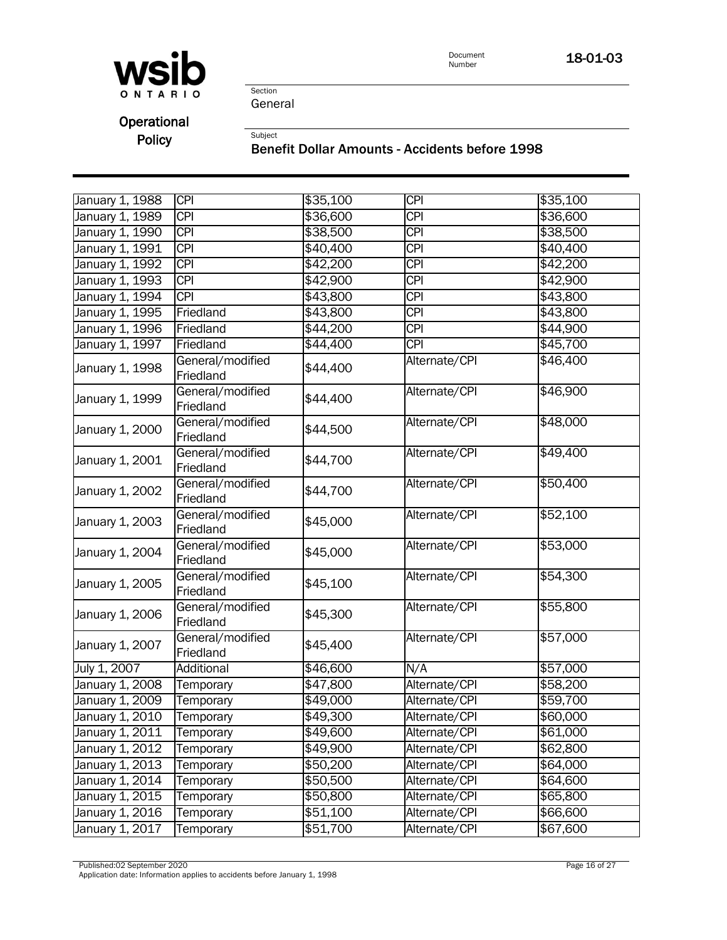

18-01-03

Section General

Subject

Operational Policy

Benefit Dollar Amounts - Accidents before 1998

| January 1, 1988 | <b>CPI</b>                    | \$35,100 | $\overline{CPI}$ | \$35,100 |
|-----------------|-------------------------------|----------|------------------|----------|
| January 1, 1989 | <b>CPI</b>                    | \$36,600 | <b>CPI</b>       | \$36,600 |
| January 1, 1990 | <b>CPI</b>                    | \$38,500 | $\overline{CPI}$ | \$38,500 |
| January 1, 1991 | <b>CPI</b>                    | \$40,400 | $\overline{CPI}$ | \$40,400 |
| January 1, 1992 | <b>CPI</b>                    | \$42,200 | <b>CPI</b>       | \$42,200 |
| January 1, 1993 | <b>CPI</b>                    | \$42,900 | $\overline{CPI}$ | \$42,900 |
| January 1, 1994 | $\overline{CPI}$              | \$43,800 | $\overline{CPI}$ | \$43,800 |
| January 1, 1995 | Friedland                     | \$43,800 | $\overline{CPI}$ | \$43,800 |
| January 1, 1996 | Friedland                     | \$44,200 | <b>CPI</b>       | \$44,900 |
| January 1, 1997 | Friedland                     | \$44,400 | <b>CPI</b>       | \$45,700 |
| January 1, 1998 | General/modified<br>Friedland | \$44,400 | Alternate/CPI    | \$46,400 |
| January 1, 1999 | General/modified<br>Friedland | \$44,400 | Alternate/CPI    | \$46,900 |
| January 1, 2000 | General/modified<br>Friedland | \$44,500 | Alternate/CPI    | \$48,000 |
| January 1, 2001 | General/modified<br>Friedland | \$44,700 | Alternate/CPI    | \$49,400 |
| January 1, 2002 | General/modified<br>Friedland | \$44,700 | Alternate/CPI    | \$50,400 |
| January 1, 2003 | General/modified<br>Friedland | \$45,000 | Alternate/CPI    | \$52,100 |
| January 1, 2004 | General/modified<br>Friedland | \$45,000 | Alternate/CPI    | \$53,000 |
| January 1, 2005 | General/modified<br>Friedland | \$45,100 | Alternate/CPI    | \$54,300 |
| January 1, 2006 | General/modified<br>Friedland | \$45,300 | Alternate/CPI    | \$55,800 |
| January 1, 2007 | General/modified<br>Friedland | \$45,400 | Alternate/CPI    | \$57,000 |
| July 1, 2007    | Additional                    | \$46,600 | N/A              | \$57,000 |
| January 1, 2008 | Temporary                     | \$47,800 | Alternate/CPI    | \$58,200 |
| January 1, 2009 | Temporary                     | \$49,000 | Alternate/CPI    | \$59,700 |
| January 1, 2010 | Temporary                     | \$49,300 | Alternate/CPI    | \$60,000 |
| January 1, 2011 | Temporary                     | \$49,600 | Alternate/CPI    | \$61,000 |
| January 1, 2012 | Temporary                     | \$49,900 | Alternate/CPI    | \$62,800 |
| January 1, 2013 | Temporary                     | \$50,200 | Alternate/CPI    | \$64,000 |
| January 1, 2014 | Temporary                     | \$50,500 | Alternate/CPI    | \$64,600 |
| January 1, 2015 | Temporary                     | \$50,800 | Alternate/CPI    | \$65,800 |
| January 1, 2016 | Temporary                     | \$51,100 | Alternate/CPI    | \$66,600 |
| January 1, 2017 | Temporary                     | \$51,700 | Alternate/CPI    | \$67,600 |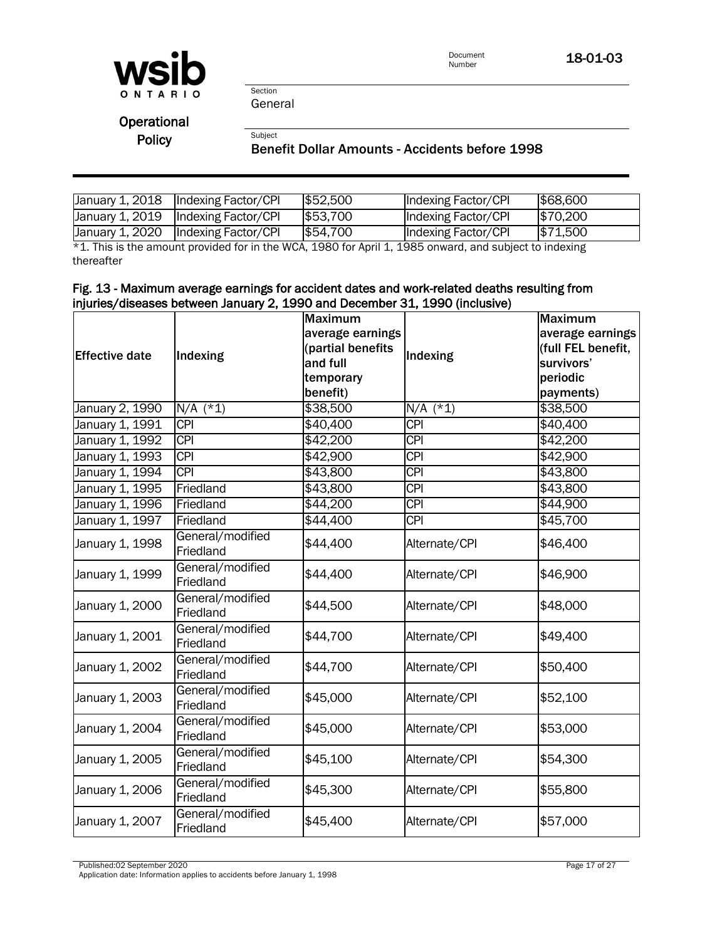

Document<br>Number 18-01-03

Section General

Subject

**Operational** Policy

#### Benefit Dollar Amounts - Accidents before 1998

|                 | January 1, 2018  Indexing Factor/CPI | \$52,500 | Indexing Factor/CPI | \$68,600 |
|-----------------|--------------------------------------|----------|---------------------|----------|
| January 1, 2019 | Indexing Factor/CPI                  | \$53,700 | Indexing Factor/CPI | \$70,200 |
| January 1, 2020 | Indexing Factor/CPI                  | \$54,700 | Indexing Factor/CPI | \$71,500 |

\*1. This is the amount provided for in the WCA, 1980 for April 1, 1985 onward, and subject to indexing thereafter

#### Fig. 13 - Maximum average earnings for accident dates and work-related deaths resulting from injuries/diseases between January 2, 1990 and December 31, 1990 (inclusive)

|                       |                               | <b>Maximum</b>                        |                                                                                                                                                                                                                                                      | <b>Maximum</b>                         |
|-----------------------|-------------------------------|---------------------------------------|------------------------------------------------------------------------------------------------------------------------------------------------------------------------------------------------------------------------------------------------------|----------------------------------------|
|                       |                               |                                       |                                                                                                                                                                                                                                                      |                                        |
|                       |                               | average earnings<br>(partial benefits |                                                                                                                                                                                                                                                      | average earnings<br>(full FEL benefit, |
| <b>Effective date</b> | Indexing                      | and full                              | Indexing                                                                                                                                                                                                                                             | survivors'                             |
|                       |                               |                                       | $N/A$ (*1)<br><b>CPI</b><br><b>CPI</b><br><b>CPI</b><br><b>CPI</b><br><b>CPI</b><br><b>CPI</b><br><b>CPI</b><br>Alternate/CPI<br>Alternate/CPI<br>Alternate/CPI<br>Alternate/CPI<br>Alternate/CPI<br>Alternate/CPI<br>Alternate/CPI<br>Alternate/CPI | periodic                               |
|                       |                               | temporary                             |                                                                                                                                                                                                                                                      |                                        |
|                       |                               | benefit)                              |                                                                                                                                                                                                                                                      | payments)                              |
| January 2, 1990       | $N/A$ (*1)                    | \$38,500                              |                                                                                                                                                                                                                                                      | \$38,500                               |
| January 1, 1991       | <b>CPI</b>                    | \$40,400                              |                                                                                                                                                                                                                                                      | \$40,400                               |
| January 1, 1992       | <b>CPI</b>                    | \$42,200                              |                                                                                                                                                                                                                                                      | \$42,200                               |
| January 1, 1993       | <b>CPI</b>                    | \$42,900                              |                                                                                                                                                                                                                                                      | \$42,900                               |
| January 1, 1994       | $\overline{CPI}$              | \$43,800                              |                                                                                                                                                                                                                                                      | \$43,800                               |
| January 1, 1995       | Friedland                     | \$43,800                              |                                                                                                                                                                                                                                                      | \$43,800                               |
| January 1, 1996       | Friedland                     | \$44,200                              |                                                                                                                                                                                                                                                      | \$44,900                               |
| January 1, 1997       | Friedland                     | \$44,400                              |                                                                                                                                                                                                                                                      | \$45,700                               |
| January 1, 1998       | General/modified<br>Friedland | \$44,400                              |                                                                                                                                                                                                                                                      | \$46,400                               |
| January 1, 1999       | General/modified<br>Friedland | \$44,400                              |                                                                                                                                                                                                                                                      | \$46,900                               |
| January 1, 2000       | General/modified<br>Friedland | \$44,500                              |                                                                                                                                                                                                                                                      | \$48,000                               |
| January 1, 2001       | General/modified<br>Friedland | \$44,700                              |                                                                                                                                                                                                                                                      | \$49,400                               |
| January 1, 2002       | General/modified<br>Friedland | \$44,700                              |                                                                                                                                                                                                                                                      | \$50,400                               |
| January 1, 2003       | General/modified<br>Friedland | \$45,000                              |                                                                                                                                                                                                                                                      | \$52,100                               |
| January 1, 2004       | General/modified<br>Friedland | \$45,000                              |                                                                                                                                                                                                                                                      | \$53,000                               |
| January 1, 2005       | General/modified<br>Friedland | \$45,100                              |                                                                                                                                                                                                                                                      | \$54,300                               |
| January 1, 2006       | General/modified<br>Friedland | \$45,300                              | Alternate/CPI                                                                                                                                                                                                                                        | \$55,800                               |
| January 1, 2007       | General/modified<br>Friedland | \$45,400                              | Alternate/CPI                                                                                                                                                                                                                                        | \$57,000                               |

Published:02 September 2020 Page 17 of 27

Application date: Information applies to accidents before January 1, 1998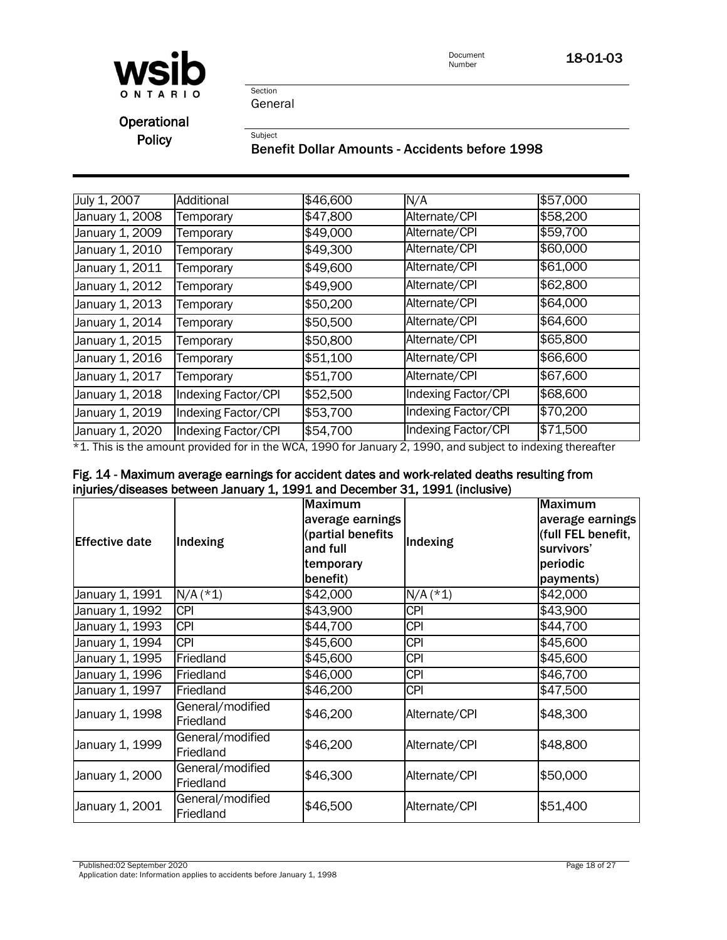

Document<br>Number 18-01-03

Section General

Subject

Operational **Policy** 

#### Benefit Dollar Amounts - Accidents before 1998

| July 1, 2007    | Additional          | \$46,600 | N/A                 | \$57,000 |
|-----------------|---------------------|----------|---------------------|----------|
| January 1, 2008 | Temporary           | \$47,800 | Alternate/CPI       | \$58,200 |
| January 1, 2009 | Temporary           | \$49,000 | Alternate/CPI       | \$59,700 |
| January 1, 2010 | Temporary           | \$49,300 | Alternate/CPI       | \$60,000 |
| January 1, 2011 | Temporary           | \$49,600 | Alternate/CPI       | \$61,000 |
| January 1, 2012 | Temporary           | \$49,900 | Alternate/CPI       | \$62,800 |
| January 1, 2013 | Temporary           | \$50,200 | Alternate/CPI       | \$64,000 |
| January 1, 2014 | Temporary           | \$50,500 | Alternate/CPI       | \$64,600 |
| January 1, 2015 | Temporary           | \$50,800 | Alternate/CPI       | \$65,800 |
| January 1, 2016 | Temporary           | \$51,100 | Alternate/CPI       | \$66,600 |
| January 1, 2017 | Temporary           | \$51,700 | Alternate/CPI       | \$67,600 |
| January 1, 2018 | Indexing Factor/CPI | \$52,500 | Indexing Factor/CPI | \$68,600 |
| January 1, 2019 | Indexing Factor/CPI | \$53,700 | Indexing Factor/CPI | \$70,200 |
| January 1, 2020 | Indexing Factor/CPI | \$54,700 | Indexing Factor/CPI | \$71,500 |

\*1. This is the amount provided for in the WCA, 1990 for January 2, 1990, and subject to indexing thereafter

### Fig. 14 - Maximum average earnings for accident dates and work-related deaths resulting from injuries/diseases between January 1, 1991 and December 31, 1991 (inclusive)

| <b>Effective date</b> | Indexing                      | <b>Maximum</b><br>average earnings<br>(partial benefits<br>and full<br>temporary<br>benefit) | Indexing      | <b>Maximum</b><br>average earnings<br>(full FEL benefit,<br>survivors'<br>periodic<br>payments) |
|-----------------------|-------------------------------|----------------------------------------------------------------------------------------------|---------------|-------------------------------------------------------------------------------------------------|
| January 1, 1991       | $N/A$ (*1)                    | \$42,000                                                                                     | $N/A$ (*1)    | \$42,000                                                                                        |
| January 1, 1992       | <b>CPI</b>                    | \$43,900                                                                                     | <b>CPI</b>    | \$43,900                                                                                        |
| January 1, 1993       | <b>CPI</b>                    | \$44,700                                                                                     | <b>CPI</b>    | \$44,700                                                                                        |
| January 1, 1994       | <b>CPI</b>                    | \$45,600                                                                                     | <b>CPI</b>    | \$45,600                                                                                        |
| January 1, 1995       | Friedland                     | \$45,600                                                                                     | <b>CPI</b>    | \$45,600                                                                                        |
| January 1, 1996       | Friedland                     | \$46,000                                                                                     | <b>CPI</b>    | \$46,700                                                                                        |
| January 1, 1997       | Friedland                     | \$46,200                                                                                     | <b>CPI</b>    | \$47,500                                                                                        |
| January 1, 1998       | General/modified<br>Friedland | \$46,200                                                                                     | Alternate/CPI | \$48,300                                                                                        |
| January 1, 1999       | General/modified<br>Friedland | \$46,200                                                                                     | Alternate/CPI | \$48,800                                                                                        |
| January 1, 2000       | General/modified<br>Friedland | \$46,300                                                                                     | Alternate/CPI | \$50,000                                                                                        |
| January 1, 2001       | General/modified<br>Friedland | \$46,500                                                                                     | Alternate/CPI | \$51,400                                                                                        |

Published:02 September 2020 Page 18 of 27 Application date: Information applies to accidents before January 1, 1998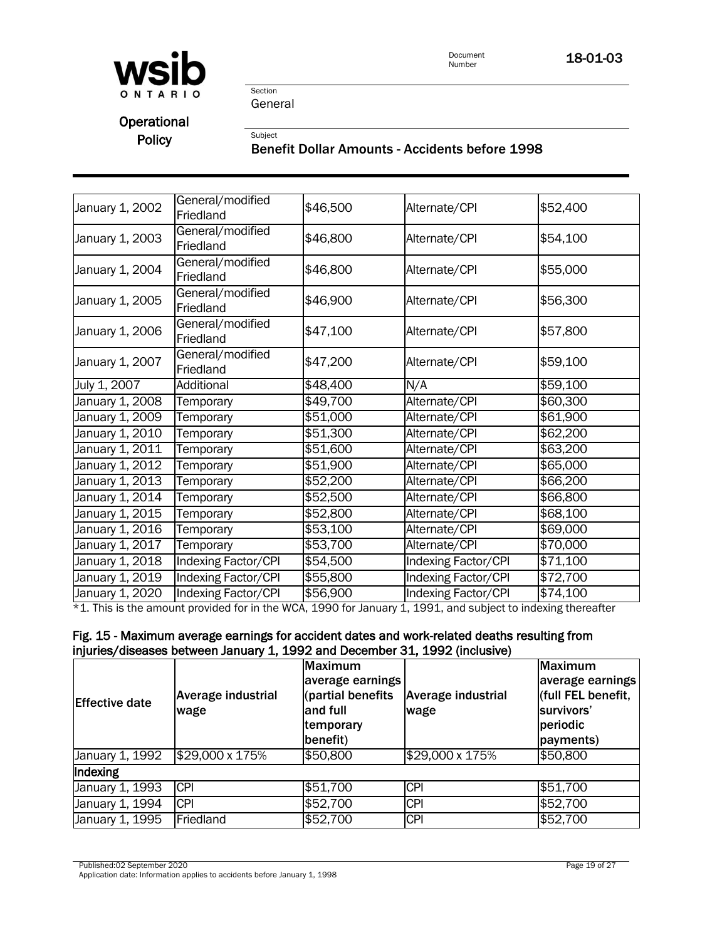

Document<br>Number 18-01-03

Section General

Subject

**Operational** Policy

## Benefit Dollar Amounts - Accidents before 1998

| January 1, 2002 | General/modified<br>Friedland | \$46,500 | Alternate/CPI                                                                                               | \$52,400 |
|-----------------|-------------------------------|----------|-------------------------------------------------------------------------------------------------------------|----------|
| January 1, 2003 | General/modified<br>Friedland | \$46,800 | Alternate/CPI                                                                                               | \$54,100 |
| January 1, 2004 | General/modified<br>Friedland | \$46,800 | Alternate/CPI                                                                                               | \$55,000 |
| January 1, 2005 | General/modified<br>Friedland | \$46,900 | Alternate/CPI                                                                                               | \$56,300 |
| January 1, 2006 | General/modified<br>Friedland | \$47,100 | Alternate/CPI                                                                                               | \$57,800 |
| January 1, 2007 | General/modified<br>Friedland | \$47,200 | Alternate/CPI                                                                                               | \$59,100 |
| July 1, 2007    | Additional                    | \$48,400 | N/A                                                                                                         | \$59,100 |
| January 1, 2008 | Temporary                     | \$49,700 | Alternate/CPI                                                                                               | \$60,300 |
| January 1, 2009 | Temporary                     | \$51,000 | Alternate/CPI                                                                                               | \$61,900 |
| January 1, 2010 | Temporary                     | \$51,300 | Alternate/CPI                                                                                               | \$62,200 |
| January 1, 2011 | Temporary                     | \$51,600 | Alternate/CPI                                                                                               | \$63,200 |
| January 1, 2012 | Temporary                     | \$51,900 | Alternate/CPI                                                                                               | \$65,000 |
| January 1, 2013 | Temporary                     | \$52,200 | Alternate/CPI                                                                                               | \$66,200 |
| January 1, 2014 | Temporary                     | \$52,500 | Alternate/CPI                                                                                               | \$66,800 |
| January 1, 2015 | Temporary                     | \$52,800 | Alternate/CPI                                                                                               | \$68,100 |
| January 1, 2016 | Temporary                     | \$53,100 | Alternate/CPI                                                                                               | \$69,000 |
| January 1, 2017 | Temporary                     | \$53,700 | Alternate/CPI                                                                                               | \$70,000 |
| January 1, 2018 | <b>Indexing Factor/CPI</b>    | \$54,500 | Indexing Factor/CPI                                                                                         | \$71,100 |
| January 1, 2019 | Indexing Factor/CPI           | \$55,800 | Indexing Factor/CPI                                                                                         | \$72,700 |
| January 1, 2020 | Indexing Factor/CPI           | \$56,900 | Indexing Factor/CPI                                                                                         | \$74,100 |
|                 |                               |          | $+4$ This is the amount provided for in the WCA 1000 for longer 1, 1001, and subject to indeviag thereofter |          |

\*1. This is the amount provided for in the WCA, 1990 for January 1, 1991, and subject to indexing thereafter

# Fig. 15 - Maximum average earnings for accident dates and work-related deaths resulting from injuries/diseases between January 1, 1992 and December 31, 1992 (inclusive)

| <b>IEffective date</b> | <b>Average industrial</b><br>wage | <b>Maximum</b><br>average earnings<br>(partial benefits<br>and full<br>temporary<br>benefit) | <b>Average industrial</b><br>wage | Maximum<br>average earnings<br>(full FEL benefit,<br>survivors'<br>periodic<br>payments) |
|------------------------|-----------------------------------|----------------------------------------------------------------------------------------------|-----------------------------------|------------------------------------------------------------------------------------------|
| January 1, 1992        | \$29,000 x 175%                   | \$50,800                                                                                     | \$29,000 x 175%                   | \$50,800                                                                                 |
| Indexing               |                                   |                                                                                              |                                   |                                                                                          |
| January 1, 1993        | $\overline{CPI}$                  | \$51,700                                                                                     | <b>CPI</b>                        | \$51,700                                                                                 |
| January 1, 1994        | <b>CPI</b>                        | \$52,700                                                                                     | <b>CPI</b>                        | \$52,700                                                                                 |
| January 1, 1995        | Friedland                         | \$52,700                                                                                     | <b>CPI</b>                        | \$52,700                                                                                 |

Published:02 September 2020 Page 19 of 27

Application date: Information applies to accidents before January 1, 1998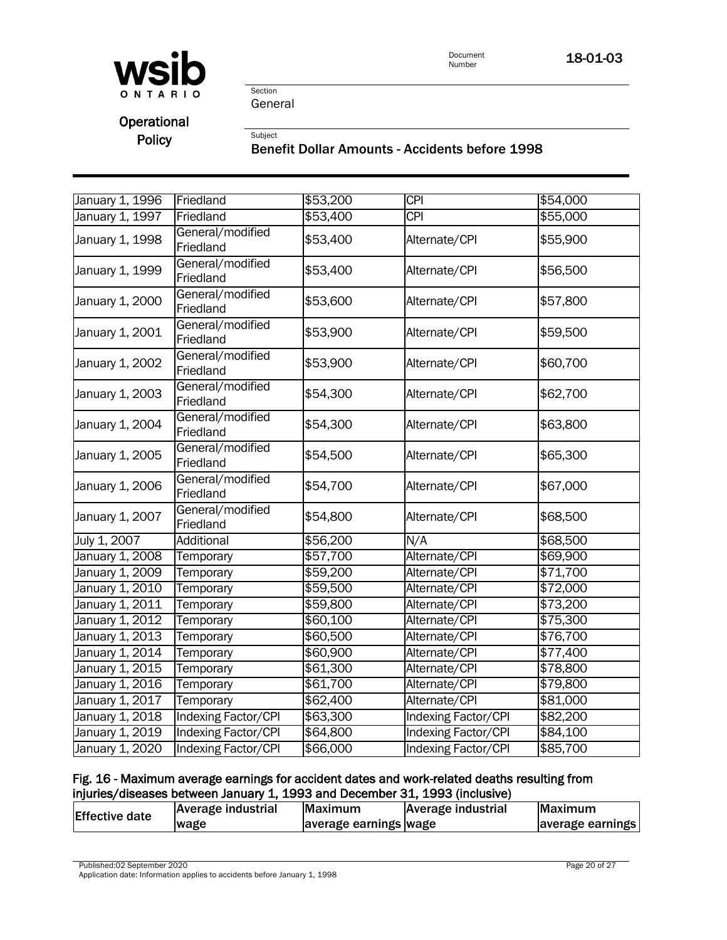

Section General

Subject

# **Operational** Policy

## Benefit Dollar Amounts - Accidents before 1998

| January 1, 1996 | Friedland                     | \$53,200 | $\overline{CPI}$           | \$54,000 |
|-----------------|-------------------------------|----------|----------------------------|----------|
| January 1, 1997 | Friedland                     | \$53,400 | <b>CPI</b>                 | \$55,000 |
| January 1, 1998 | General/modified<br>Friedland | \$53,400 | Alternate/CPI              | \$55,900 |
| January 1, 1999 | General/modified<br>Friedland | \$53,400 | Alternate/CPI              | \$56,500 |
| January 1, 2000 | General/modified<br>Friedland | \$53,600 | Alternate/CPI              | \$57,800 |
| January 1, 2001 | General/modified<br>Friedland | \$53,900 | Alternate/CPI              | \$59,500 |
| January 1, 2002 | General/modified<br>Friedland | \$53,900 | Alternate/CPI              | \$60,700 |
| January 1, 2003 | General/modified<br>Friedland | \$54,300 | Alternate/CPI              | \$62,700 |
| January 1, 2004 | General/modified<br>Friedland | \$54,300 | Alternate/CPI              | \$63,800 |
| January 1, 2005 | General/modified<br>Friedland | \$54,500 | Alternate/CPI              | \$65,300 |
| January 1, 2006 | General/modified<br>Friedland | \$54,700 | Alternate/CPI              | \$67,000 |
| January 1, 2007 | General/modified<br>Friedland | \$54,800 | Alternate/CPI              | \$68,500 |
| July 1, 2007    | Additional                    | \$56,200 | N/A                        | \$68,500 |
| January 1, 2008 | Temporary                     | \$57,700 | Alternate/CPI              | \$69,900 |
| January 1, 2009 | Temporary                     | \$59,200 | Alternate/CPI              | \$71,700 |
| January 1, 2010 | Temporary                     | \$59,500 | Alternate/CPI              | \$72,000 |
| January 1, 2011 | Temporary                     | \$59,800 | Alternate/CPI              | \$73,200 |
| January 1, 2012 | Temporary                     | \$60,100 | Alternate/CPI              | \$75,300 |
| January 1, 2013 | Temporary                     | \$60,500 | Alternate/CPI              | \$76,700 |
| January 1, 2014 | Temporary                     | \$60,900 | Alternate/CPI              | \$77,400 |
| January 1, 2015 | Temporary                     | \$61,300 | Alternate/CPI              | \$78,800 |
| January 1, 2016 | Temporary                     | \$61,700 | Alternate/CPI              | \$79,800 |
| January 1, 2017 | Temporary                     | \$62,400 | Alternate/CPI              | \$81,000 |
| January 1, 2018 | <b>Indexing Factor/CPI</b>    | \$63,300 | <b>Indexing Factor/CPI</b> | \$82,200 |
| January 1, 2019 | Indexing Factor/CPI           | \$64,800 | <b>Indexing Factor/CPI</b> | \$84,100 |
| January 1, 2020 | Indexing Factor/CPI           | \$66,000 | Indexing Factor/CPI        | \$85,700 |

## Fig. 16 - Maximum average earnings for accident dates and work-related deaths resulting from injuries/diseases between January 1, 1993 and December 31, 1993 (inclusive)

| <b>Effective date</b> | Average industrial | Maximum               | Average industrial | <b>IMaximum</b>  |
|-----------------------|--------------------|-----------------------|--------------------|------------------|
|                       | wage               | average earnings wage |                    | average earnings |

Published:02 September 2020 Page 20 of 27

Application date: Information applies to accidents before January 1, 1998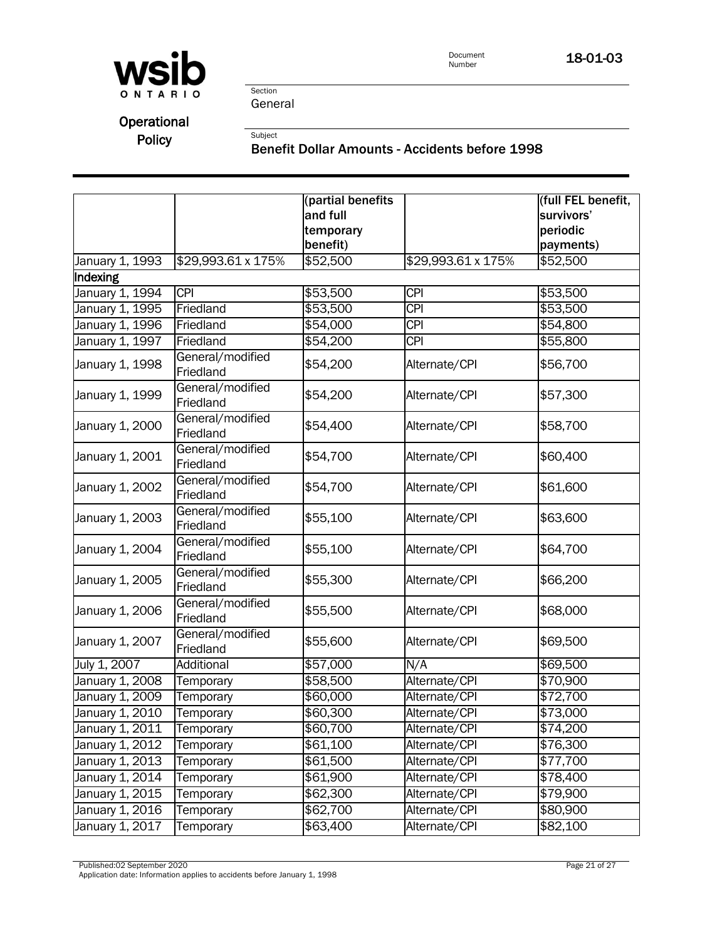

Section General

Subject

# Operational

Policy

### Benefit Dollar Amounts - Accidents before 1998

|                 |                               | (partial benefits<br>and full<br>temporary |                    | (full FEL benefit,<br>survivors'<br>periodic |
|-----------------|-------------------------------|--------------------------------------------|--------------------|----------------------------------------------|
|                 |                               | benefit)                                   |                    | payments)                                    |
| January 1, 1993 | \$29,993.61 x 175%            | \$52,500                                   | \$29,993.61 x 175% | \$52,500                                     |
| Indexing        |                               |                                            |                    |                                              |
| January 1, 1994 | <b>CPI</b>                    | \$53,500                                   | <b>CPI</b>         | \$53,500                                     |
| January 1, 1995 | Friedland                     | \$53,500                                   | <b>CPI</b>         | \$53,500                                     |
| January 1, 1996 | Friedland                     | \$54,000                                   | <b>CPI</b>         | \$54,800                                     |
| January 1, 1997 | Friedland                     | \$54,200                                   | $\overline{CPI}$   | \$55,800                                     |
| January 1, 1998 | General/modified<br>Friedland | \$54,200                                   | Alternate/CPI      | \$56,700                                     |
| January 1, 1999 | General/modified<br>Friedland | \$54,200                                   | Alternate/CPI      | \$57,300                                     |
| January 1, 2000 | General/modified<br>Friedland | \$54,400                                   | Alternate/CPI      | \$58,700                                     |
| January 1, 2001 | General/modified<br>Friedland | \$54,700                                   | Alternate/CPI      | \$60,400                                     |
| January 1, 2002 | General/modified<br>Friedland | \$54,700                                   | Alternate/CPI      | \$61,600                                     |
| January 1, 2003 | General/modified<br>Friedland | \$55,100                                   | Alternate/CPI      | \$63,600                                     |
| January 1, 2004 | General/modified<br>Friedland | \$55,100                                   | Alternate/CPI      | \$64,700                                     |
| January 1, 2005 | General/modified<br>Friedland | \$55,300                                   | Alternate/CPI      | \$66,200                                     |
| January 1, 2006 | General/modified<br>Friedland | \$55,500                                   | Alternate/CPI      | \$68,000                                     |
| January 1, 2007 | General/modified<br>Friedland | \$55,600                                   | Alternate/CPI      | \$69,500                                     |
| July 1, 2007    | Additional                    | \$57,000                                   | N/A                | \$69,500                                     |
| January 1, 2008 | Temporary                     | \$58,500                                   | Alternate/CPI      | \$70,900                                     |
| January 1, 2009 | Temporary                     | \$60,000                                   | Alternate/CPI      | \$72,700                                     |
| January 1, 2010 | Temporary                     | \$60,300                                   | Alternate/CPI      | \$73,000                                     |
| January 1, 2011 | Temporary                     | \$60,700                                   | Alternate/CPI      | \$74,200                                     |
| January 1, 2012 | Temporary                     | \$61,100                                   | Alternate/CPI      | \$76,300                                     |
| January 1, 2013 | Temporary                     | \$61,500                                   | Alternate/CPI      | \$77,700                                     |
| January 1, 2014 | Temporary                     | \$61,900                                   | Alternate/CPI      | \$78,400                                     |
| January 1, 2015 | Temporary                     | \$62,300                                   | Alternate/CPI      | \$79,900                                     |
| January 1, 2016 | Temporary                     | \$62,700                                   | Alternate/CPI      | \$80,900                                     |
| January 1, 2017 | Temporary                     | \$63,400                                   | Alternate/CPI      | \$82,100                                     |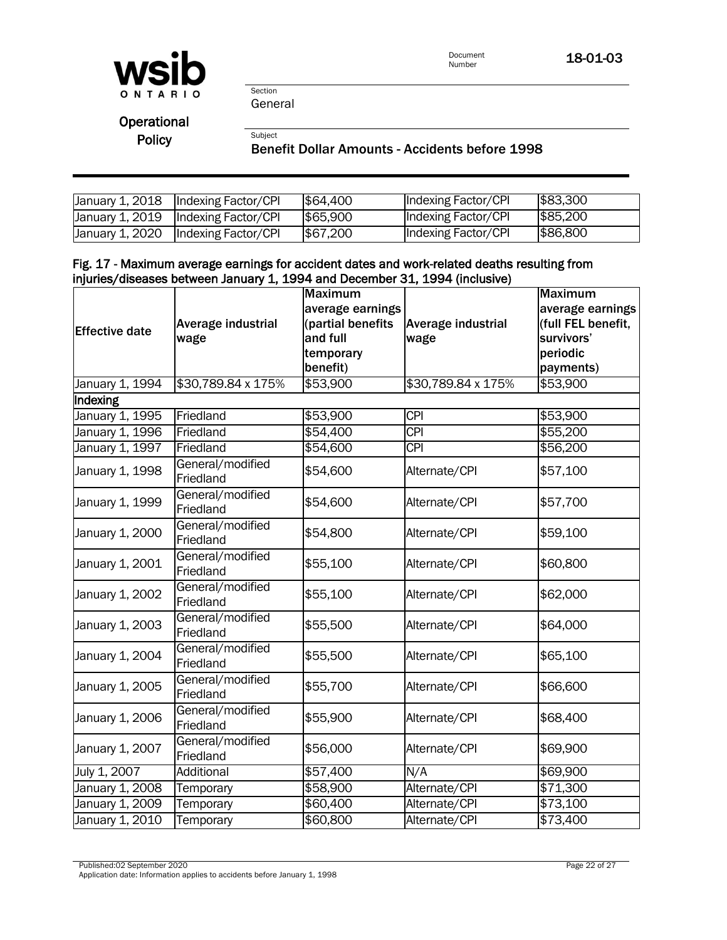

Section General

Subject

**Operational** Policy

I

#### Benefit Dollar Amounts - Accidents before 1998

|                 | January 1, 2018  Indexing Factor/CPI  | \$64,400 | Indexing Factor/CPI | \$83,300 |
|-----------------|---------------------------------------|----------|---------------------|----------|
|                 | January 1, 2019   Indexing Factor/CPI | \$65,900 | Indexing Factor/CPI | \$85,200 |
| January 1, 2020 | Indexing Factor/CPI                   | \$67,200 | Indexing Factor/CPI | \$86,800 |

#### Fig. 17 - Maximum average earnings for accident dates and work-related deaths resulting from injuries/diseases between January 1, 1994 and December 31, 1994 (inclusive)

|                       |                               | <b>Maximum</b>    |                    | <b>Maximum</b>     |
|-----------------------|-------------------------------|-------------------|--------------------|--------------------|
|                       |                               | average earnings  |                    | average earnings   |
| <b>Effective date</b> | Average industrial            | (partial benefits | Average industrial | (full FEL benefit, |
|                       | wage                          | and full          | wage               | survivors'         |
|                       |                               | temporary         |                    | periodic           |
|                       |                               | benefit)          |                    | payments)          |
| January 1, 1994       | \$30,789.84 x 175%            | \$53,900          | \$30,789.84 x 175% | \$53,900           |
| Indexing              |                               |                   |                    |                    |
| January 1, 1995       | Friedland                     | \$53,900          | <b>CPI</b>         | \$53,900           |
| January 1, 1996       | Friedland                     | \$54,400          | <b>CPI</b>         | \$55,200           |
| January 1, 1997       | Friedland                     | \$54,600          | <b>CPI</b>         | \$56,200           |
| January 1, 1998       | General/modified<br>Friedland | \$54,600          | Alternate/CPI      | \$57,100           |
| January 1, 1999       | General/modified<br>Friedland | \$54,600          | Alternate/CPI      | \$57,700           |
| January 1, 2000       | General/modified<br>Friedland | \$54,800          | Alternate/CPI      | \$59,100           |
| January 1, 2001       | General/modified<br>Friedland | \$55,100          | Alternate/CPI      | \$60,800           |
| January 1, 2002       | General/modified<br>Friedland | \$55,100          | Alternate/CPI      | \$62,000           |
| January 1, 2003       | General/modified<br>Friedland | \$55,500          | Alternate/CPI      | \$64,000           |
| January 1, 2004       | General/modified<br>Friedland | \$55,500          | Alternate/CPI      | \$65,100           |
| January 1, 2005       | General/modified<br>Friedland | \$55,700          | Alternate/CPI      | \$66,600           |
| January 1, 2006       | General/modified<br>Friedland | \$55,900          | Alternate/CPI      | \$68,400           |
| January 1, 2007       | General/modified<br>Friedland | \$56,000          | Alternate/CPI      | \$69,900           |
| July 1, 2007          | Additional                    | \$57,400          | N/A                | \$69,900           |
| January 1, 2008       | Temporary                     | \$58,900          | Alternate/CPI      | \$71,300           |
| January 1, 2009       | Temporary                     | \$60,400          | Alternate/CPI      | \$73,100           |
| January 1, 2010       | Temporary                     | \$60,800          | Alternate/CPI      | \$73,400           |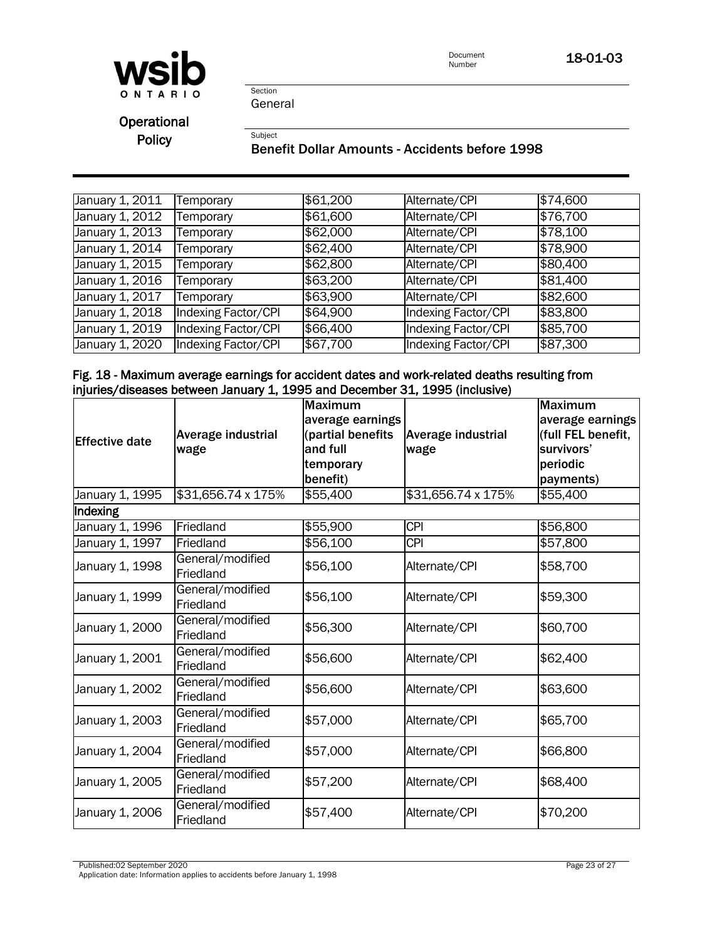

Document<br>Number 18-01-03

Section General

Subject

**Operational** Policy

#### Benefit Dollar Amounts - Accidents before 1998

| January 1, 2011              | Temporary                  | \$61,200 | Alternate/CPI       | \$74,600 |
|------------------------------|----------------------------|----------|---------------------|----------|
| January 1, 2012              | Temporary                  | \$61,600 | Alternate/CPI       | \$76,700 |
| January 1, 2013              | Temporary                  | \$62,000 | Alternate/CPI       | \$78,100 |
| January 1, 2014              | Temporary                  | \$62,400 | Alternate/CPI       | \$78,900 |
| January 1, 2015              | Temporary                  | \$62,800 | Alternate/CPI       | \$80,400 |
| January 1, 2016              | Temporary                  | \$63,200 | Alternate/CPI       | \$81,400 |
| January 1, $20\overline{17}$ | Temporary                  | \$63,900 | Alternate/CPI       | \$82,600 |
| January 1, 2018              | Indexing Factor/CPI        | \$64,900 | Indexing Factor/CPI | \$83,800 |
| January 1, 2019              | Indexing Factor/CPI        | \$66,400 | Indexing Factor/CPI | \$85,700 |
| January 1, 2020              | <b>Indexing Factor/CPI</b> | \$67,700 | Indexing Factor/CPI | \$87,300 |

#### Fig. 18 - Maximum average earnings for accident dates and work-related deaths resulting from injuries/diseases between January 1, 1995 and December 31, 1995 (inclusive)

| <b>Effective date</b> | Average industrial<br>wage    | <b>Maximum</b><br>average earnings<br>(partial benefits<br>and full<br>temporary<br>benefit) | Average industrial<br>wage | <b>Maximum</b><br>average earnings<br>(full FEL benefit,<br>survivors'<br>periodic<br>payments) |
|-----------------------|-------------------------------|----------------------------------------------------------------------------------------------|----------------------------|-------------------------------------------------------------------------------------------------|
| January 1, 1995       | \$31,656.74 x 175%            | \$55,400                                                                                     | \$31,656.74 x 175%         | \$55,400                                                                                        |
| Indexing              |                               |                                                                                              |                            |                                                                                                 |
| January 1, 1996       | Friedland                     | \$55,900                                                                                     | <b>CPI</b>                 | \$56,800                                                                                        |
| January 1, 1997       | Friedland                     | \$56,100                                                                                     | <b>CPI</b>                 | \$57,800                                                                                        |
| January 1, 1998       | General/modified<br>Friedland | \$56,100                                                                                     | Alternate/CPI              | \$58,700                                                                                        |
| January 1, 1999       | General/modified<br>Friedland | \$56,100                                                                                     | Alternate/CPI              | \$59,300                                                                                        |
| January 1, 2000       | General/modified<br>Friedland | \$56,300                                                                                     | Alternate/CPI              | \$60,700                                                                                        |
| January 1, 2001       | General/modified<br>Friedland | \$56,600                                                                                     | Alternate/CPI              | \$62,400                                                                                        |
| January 1, 2002       | General/modified<br>Friedland | \$56,600                                                                                     | Alternate/CPI              | \$63,600                                                                                        |
| January 1, 2003       | General/modified<br>Friedland | \$57,000                                                                                     | Alternate/CPI              | \$65,700                                                                                        |
| January 1, 2004       | General/modified<br>Friedland | \$57,000                                                                                     | Alternate/CPI              | \$66,800                                                                                        |
| January 1, 2005       | General/modified<br>Friedland | \$57,200                                                                                     | Alternate/CPI              | \$68,400                                                                                        |
| January 1, 2006       | General/modified<br>Friedland | \$57,400                                                                                     | Alternate/CPI              | \$70,200                                                                                        |

Published:02 September 2020 Page 23 of 27

Application date: Information applies to accidents before January 1, 1998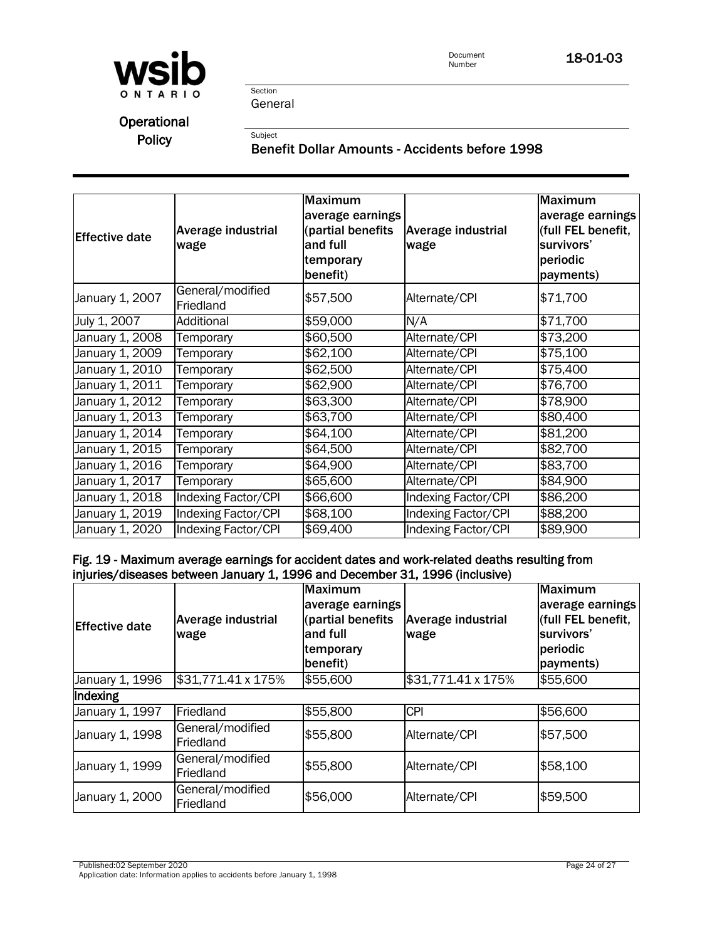

General

Section

Subject

**Operational** Policy

## Benefit Dollar Amounts - Accidents before 1998

| <b>Effective date</b> | Average industrial<br>wage    | <b>Maximum</b><br>average earnings<br>(partial benefits<br>and full<br>temporary<br>benefit) | Average industrial<br>wage | <b>Maximum</b><br>average earnings<br>(full FEL benefit,<br>survivors'<br>periodic<br>payments) |
|-----------------------|-------------------------------|----------------------------------------------------------------------------------------------|----------------------------|-------------------------------------------------------------------------------------------------|
| January 1, 2007       | General/modified<br>Friedland | \$57,500                                                                                     | Alternate/CPI              | \$71,700                                                                                        |
| July 1, 2007          | Additional                    | \$59,000                                                                                     | N/A                        | \$71,700                                                                                        |
| January 1, 2008       | Temporary                     | \$60,500                                                                                     | Alternate/CPI              | \$73,200                                                                                        |
| January 1, 2009       | Temporary                     | \$62,100                                                                                     | Alternate/CPI              | \$75,100                                                                                        |
| January 1, 2010       | Temporary                     | \$62,500                                                                                     | Alternate/CPI              | \$75,400                                                                                        |
| January 1, 2011       | Temporary                     | \$62,900                                                                                     | Alternate/CPI              | \$76,700                                                                                        |
| January 1, 2012       | Temporary                     | \$63,300                                                                                     | Alternate/CPI              | \$78,900                                                                                        |
| January 1, 2013       | Temporary                     | \$63,700                                                                                     | Alternate/CPI              | \$80,400                                                                                        |
| January 1, 2014       | Temporary                     | \$64,100                                                                                     | Alternate/CPI              | \$81,200                                                                                        |
| January 1, 2015       | Temporary                     | \$64,500                                                                                     | Alternate/CPI              | \$82,700                                                                                        |
| January 1, 2016       | Temporary                     | \$64,900                                                                                     | Alternate/CPI              | \$83,700                                                                                        |
| January 1, 2017       | Temporary                     | \$65,600                                                                                     | Alternate/CPI              | \$84,900                                                                                        |
| January 1, 2018       | Indexing Factor/CPI           | \$66,600                                                                                     | Indexing Factor/CPI        | \$86,200                                                                                        |
| January 1, 2019       | Indexing Factor/CPI           | \$68,100                                                                                     | Indexing Factor/CPI        | \$88,200                                                                                        |
| January 1, 2020       | Indexing Factor/CPI           | \$69,400                                                                                     | Indexing Factor/CPI        | \$89,900                                                                                        |

#### Fig. 19 - Maximum average earnings for accident dates and work-related deaths resulting from injuries/diseases between January 1, 1996 and December 31, 1996 (inclusive)

| <b>Effective date</b> | Average industrial<br>wage    | <b>Maximum</b><br>average earnings<br>(partial benefits<br>and full<br>temporary<br>benefit) | <b>Average industrial</b><br>wage | <b>Maximum</b><br>average earnings<br>(full FEL benefit,<br>survivors'<br>periodic<br>payments) |  |
|-----------------------|-------------------------------|----------------------------------------------------------------------------------------------|-----------------------------------|-------------------------------------------------------------------------------------------------|--|
| January 1, 1996       | \$31,771.41 x 175%            | \$55,600                                                                                     | \$31,771.41 x 175%                | \$55,600                                                                                        |  |
| Indexing              |                               |                                                                                              |                                   |                                                                                                 |  |
| January 1, 1997       | Friedland                     | \$55,800                                                                                     | <b>CPI</b>                        | \$56,600                                                                                        |  |
| January 1, 1998       | General/modified<br>Friedland | \$55,800                                                                                     | Alternate/CPI                     | \$57,500                                                                                        |  |
| January 1, 1999       | General/modified<br>Friedland | \$55,800                                                                                     | Alternate/CPI                     | \$58,100                                                                                        |  |
| January 1, 2000       | General/modified<br>Friedland | \$56,000                                                                                     | Alternate/CPI                     | \$59,500                                                                                        |  |

Published:02 September 2020 Page 24 of 27 Application date: Information applies to accidents before January 1, 1998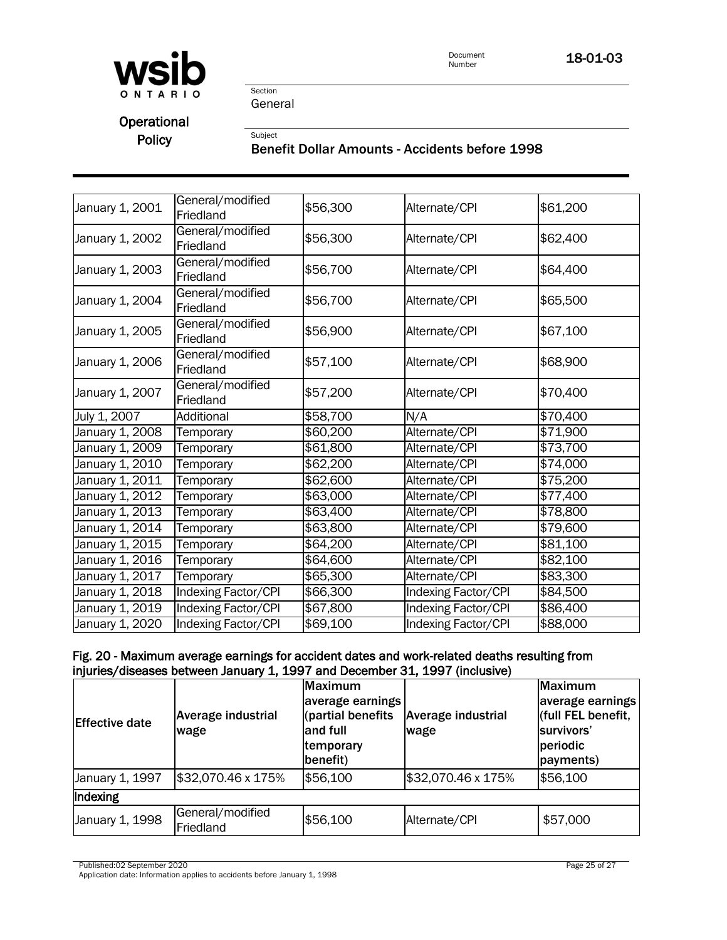

18-01-03

Section General

Subject

**Operational** Policy

## Benefit Dollar Amounts - Accidents before 1998

| January 1, 2001 | General/modified<br>Friedland | \$56,300 | Alternate/CPI              | \$61,200         |
|-----------------|-------------------------------|----------|----------------------------|------------------|
| January 1, 2002 | General/modified<br>Friedland | \$56,300 | Alternate/CPI              | \$62,400         |
| January 1, 2003 | General/modified<br>Friedland | \$56,700 | Alternate/CPI              | \$64,400         |
| January 1, 2004 | General/modified<br>Friedland | \$56,700 | Alternate/CPI              | \$65,500         |
| January 1, 2005 | General/modified<br>Friedland | \$56,900 | Alternate/CPI              | \$67,100         |
| January 1, 2006 | General/modified<br>Friedland | \$57,100 | Alternate/CPI              | \$68,900         |
| January 1, 2007 | General/modified<br>Friedland | \$57,200 | Alternate/CPI              | \$70,400         |
| July 1, 2007    | Additional                    | \$58,700 | N/A                        | \$70,400         |
| January 1, 2008 | Temporary                     | \$60,200 | Alternate/CPI              | \$71,900         |
| January 1, 2009 | Temporary                     | \$61,800 | Alternate/CPI              | \$73,700         |
| January 1, 2010 | Temporary                     | \$62,200 | Alternate/CPI              | $\sqrt{$74,000}$ |
| January 1, 2011 | Temporary                     | \$62,600 | Alternate/CPI              | \$75,200         |
| January 1, 2012 | Temporary                     | \$63,000 | Alternate/CPI              | \$77,400         |
| January 1, 2013 | Temporary                     | \$63,400 | Alternate/CPI              | \$78,800         |
| January 1, 2014 | Temporary                     | \$63,800 | Alternate/CPI              | \$79,600         |
| January 1, 2015 | Temporary                     | \$64,200 | Alternate/CPI              | \$81,100         |
| January 1, 2016 | Temporary                     | \$64,600 | Alternate/CPI              | \$82,100         |
| January 1, 2017 | Temporary                     | \$65,300 | Alternate/CPI              | \$83,300         |
| January 1, 2018 | Indexing Factor/CPI           | \$66,300 | <b>Indexing Factor/CPI</b> | \$84,500         |
|                 |                               |          |                            |                  |
| January 1, 2019 | <b>Indexing Factor/CPI</b>    | \$67,800 | <b>Indexing Factor/CPI</b> | \$86,400         |

# Fig. 20 - Maximum average earnings for accident dates and work-related deaths resulting from injuries/diseases between January 1, 1997 and December 31, 1997 (inclusive)

| <b>Effective date</b> | <b>Average industrial</b><br>wage | <b>Maximum</b><br>average earnings<br>(partial benefits<br>and full<br>temporary<br>benefit) | <b>Average industrial</b><br>wage | <b>Maximum</b><br>average earnings<br>(full FEL benefit,<br>survivors'<br>periodic<br>payments) |
|-----------------------|-----------------------------------|----------------------------------------------------------------------------------------------|-----------------------------------|-------------------------------------------------------------------------------------------------|
| January 1, 1997       | \$32,070.46 x 175%                | \$56,100                                                                                     | \$32,070.46 x 175%                | \$56,100                                                                                        |
| Indexing              |                                   |                                                                                              |                                   |                                                                                                 |
| January 1, 1998       | General/modified<br>Friedland     | \$56,100                                                                                     | Alternate/CPI                     | \$57,000                                                                                        |

Published:02 September 2020 Page 25 of 27

Application date: Information applies to accidents before January 1, 1998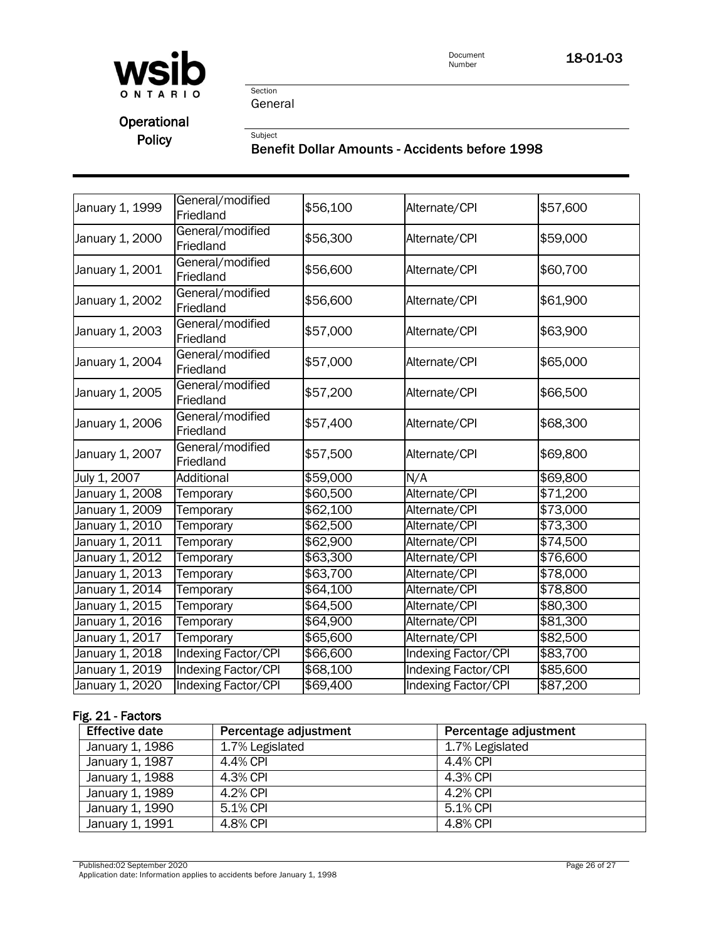

18-01-03

Section General

Subject

Operational Policy

## Benefit Dollar Amounts - Accidents before 1998

| January 1, 1999 | General/modified<br>Friedland | \$56,100 | Alternate/CPI              | \$57,600 |
|-----------------|-------------------------------|----------|----------------------------|----------|
| January 1, 2000 | General/modified<br>Friedland | \$56,300 | Alternate/CPI              | \$59,000 |
| January 1, 2001 | General/modified<br>Friedland | \$56,600 | Alternate/CPI              | \$60,700 |
| January 1, 2002 | General/modified<br>Friedland | \$56,600 | Alternate/CPI              | \$61,900 |
| January 1, 2003 | General/modified<br>Friedland | \$57,000 | Alternate/CPI              | \$63,900 |
| January 1, 2004 | General/modified<br>Friedland | \$57,000 | Alternate/CPI              | \$65,000 |
| January 1, 2005 | General/modified<br>Friedland | \$57,200 | Alternate/CPI              | \$66,500 |
| January 1, 2006 | General/modified<br>Friedland | \$57,400 | Alternate/CPI              | \$68,300 |
| January 1, 2007 | General/modified<br>Friedland | \$57,500 | Alternate/CPI              | \$69,800 |
| July 1, 2007    | <b>Additional</b>             | \$59,000 | N/A                        | \$69,800 |
| January 1, 2008 | Temporary                     | \$60,500 | Alternate/CPI              | \$71,200 |
| January 1, 2009 | Temporary                     | \$62,100 | Alternate/CPI              | \$73,000 |
| January 1, 2010 | Temporary                     | \$62,500 | Alternate/CPI              | \$73,300 |
| January 1, 2011 | Temporary                     | \$62,900 | Alternate/CPI              | \$74,500 |
| January 1, 2012 | Temporary                     | \$63,300 | Alternate/CPI              | \$76,600 |
| January 1, 2013 | Temporary                     | \$63,700 | Alternate/CPI              | \$78,000 |
| January 1, 2014 | Temporary                     | \$64,100 | Alternate/CPI              | \$78,800 |
| January 1, 2015 | Temporary                     | \$64,500 | Alternate/CPI              | \$80,300 |
| January 1, 2016 | Temporary                     | \$64,900 | Alternate/CPI              | \$81,300 |
| January 1, 2017 | Temporary                     | \$65,600 | Alternate/CPI              | \$82,500 |
| January 1, 2018 | <b>Indexing Factor/CPI</b>    | \$66,600 | Indexing Factor/CPI        | \$83,700 |
| January 1, 2019 | <b>Indexing Factor/CPI</b>    | \$68,100 | <b>Indexing Factor/CPI</b> | \$85,600 |
| January 1, 2020 | <b>Indexing Factor/CPI</b>    | \$69,400 | Indexing Factor/CPI        | \$87,200 |

# Fig. 21 - Factors

| <b>Effective date</b> | Percentage adjustment | Percentage adjustment |
|-----------------------|-----------------------|-----------------------|
| January 1, 1986       | 1.7% Legislated       | 1.7% Legislated       |
| January 1, 1987       | 4.4% CPI              | 4.4% CPI              |
| January 1, 1988       | 4.3% CPI              | 4.3% CPI              |
| January 1, 1989       | 4.2% CPI              | 4.2% CPI              |
| January 1, 1990       | 5.1% CPI              | 5.1% CPI              |
| January 1, 1991       | 4.8% CPI              | 4.8% CPI              |